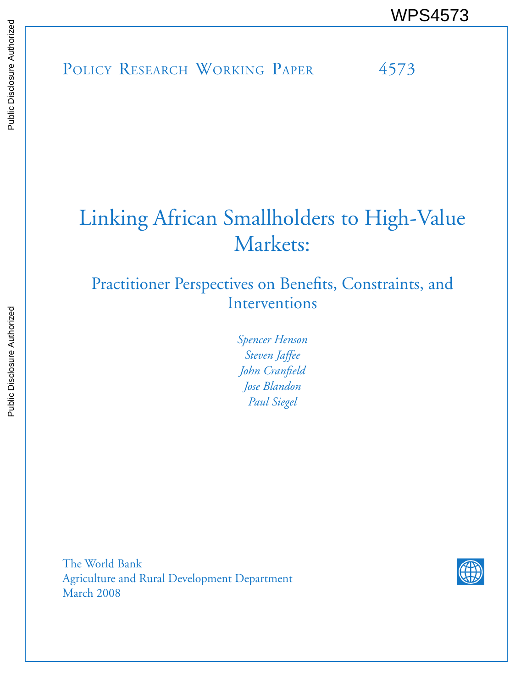# Linking African Smallholders to High-Value Markets:

## Practitioner Perspectives on Benefits, Constraints, and Interventions

*Spencer Henson Steven Jaffee John Cranfield Jose Blandon Paul Siegel*

The World Bank Agriculture and Rural Development Department March 2008

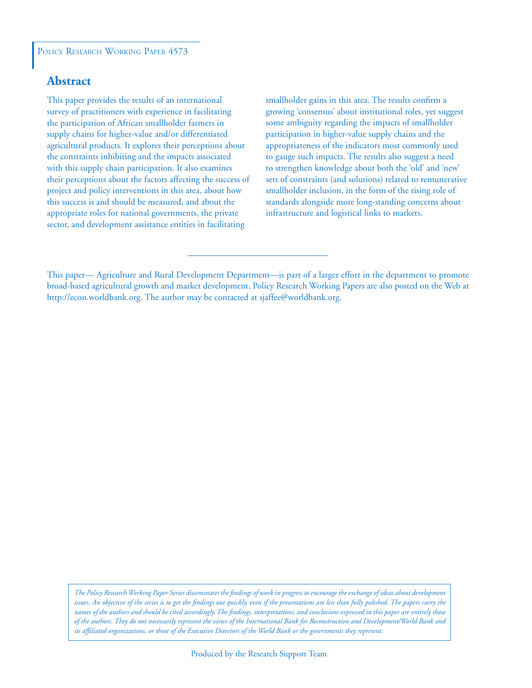## **Abstract**

This paper provides the results of an international survey of practitioners with experience in facilitating the participation of African smallholder farmers in supply chains for higher-value and/or differentiated agricultural products. It explores their perceptions about the constraints inhibiting and the impacts associated with this supply chain participation. It also examines their perceptions about the factors affecting the success of project and policy interventions in this area, about how this success is and should be measured, and about the appropriate roles for national governments, the private sector, and development assistance entities in facilitating

smallholder gains in this area. The results confirm a growing 'consensus' about institutional roles, yet suggest some ambiguity regarding the impacts of smallholder participation in higher-value supply chains and the appropriateness of the indicators most commonly used to gauge such impacts. The results also suggest a need to strengthen knowledge about both the 'old' and 'new' sets of constraints (and solutions) related to remunerative smallholder inclusion, in the form of the rising role of standards alongside more long-standing concerns about infrastructure and logistical links to markets.

*The Policy Research Working Paper Series disseminates the findings of work in progress to encourage the exchange of ideas about development issues. An objective of the series is to get the findings out quickly, even if the presentations are less than fully polished. The papers carry the names of the authors and should be cited accordingly. The findings, interpretations, and conclusions expressed in this paper are entirely those of the authors. They do not necessarily represent the views of the International Bank for Reconstruction and Development/World Bank and its affiliated organizations, or those of the Executive Directors of the World Bank or the governments they represent.*

This paper— Agriculture and Rural Development Department—is part of a larger effort in the department to promote broad-based agricultural growth and market development. Policy Research Working Papers are also posted on the Web at http://econ.worldbank.org. The author may be contacted at sjaffee@worldbank.org.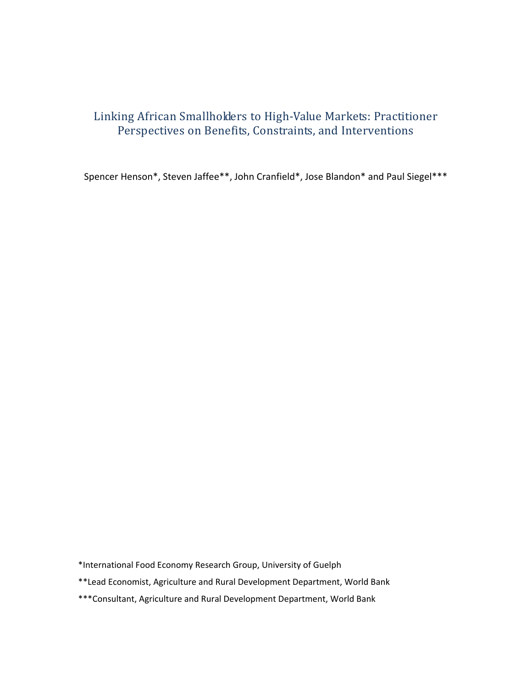## Linking African Smallholders to High‐Value Markets: Practitioner Perspectives on Benefits, Constraints, and Interventions

Spencer Henson\*, Steven Jaffee\*\*, John Cranfield\*, Jose Blandon\* and Paul Siegel\*\*\*

\*International Food Economy Research Group, University of Guelph

\*\*Lead Economist, Agriculture and Rural Development Department, World Bank

\*\*\*Consultant, Agriculture and Rural Development Department, World Bank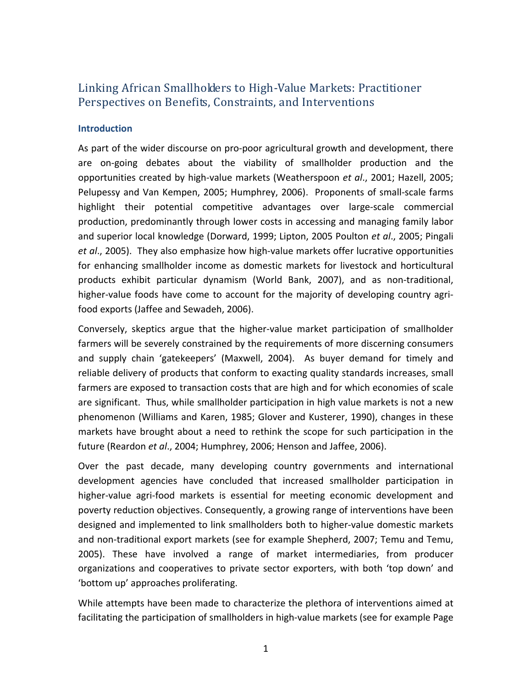## Linking African Smallholders to High‐Value Markets: Practitioner Perspectives on Benefits, Constraints, and Interventions

#### **Introduction**

As part of the wider discourse on pro‐poor agricultural growth and development, there are on‐going debates about the viability of smallholder production and the opportunities created by high‐value markets (Weatherspoon *et al*., 2001; Hazell, 2005; Pelupessy and Van Kempen, 2005; Humphrey, 2006). Proponents of small‐scale farms highlight their potential competitive advantages over large‐scale commercial production, predominantly through lower costs in accessing and managing family labor and superior local knowledge (Dorward, 1999; Lipton, 2005 Poulton *et al*., 2005; Pingali *et al*., 2005). They also emphasize how high‐value markets offer lucrative opportunities for enhancing smallholder income as domestic markets for livestock and horticultural products exhibit particular dynamism (World Bank, 2007), and as non‐traditional, higher-value foods have come to account for the majority of developing country agrifood exports (Jaffee and Sewadeh, 2006).

Conversely, skeptics argue that the higher‐value market participation of smallholder farmers will be severely constrained by the requirements of more discerning consumers and supply chain 'gatekeepers' (Maxwell, 2004). As buyer demand for timely and reliable delivery of products that conform to exacting quality standards increases, small farmers are exposed to transaction costs that are high and for which economies of scale are significant. Thus, while smallholder participation in high value markets is not a new phenomenon (Williams and Karen, 1985; Glover and Kusterer, 1990), changes in these markets have brought about a need to rethink the scope for such participation in the future (Reardon *et al*., 2004; Humphrey, 2006; Henson and Jaffee, 2006).

Over the past decade, many developing country governments and international development agencies have concluded that increased smallholder participation in higher-value agri-food markets is essential for meeting economic development and poverty reduction objectives. Consequently, a growing range of interventions have been designed and implemented to link smallholders both to higher-value domestic markets and non‐traditional export markets (see for example Shepherd, 2007; Temu and Temu, 2005). These have involved a range of market intermediaries, from producer organizations and cooperatives to private sector exporters, with both 'top down' and 'bottom up' approaches proliferating.

While attempts have been made to characterize the plethora of interventions aimed at facilitating the participation of smallholders in high‐value markets (see for example Page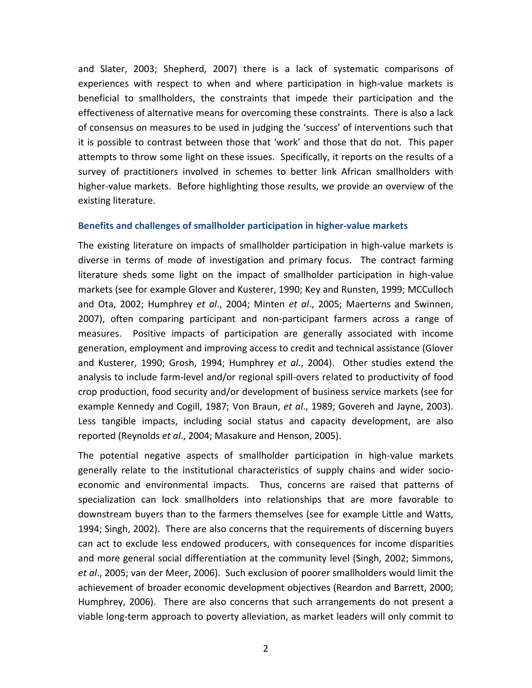and Slater, 2003; Shepherd, 2007) there is a lack of systematic comparisons of experiences with respect to when and where participation in high-value markets is beneficial to smallholders, the constraints that impede their participation and the effectiveness of alternative means for overcoming these constraints. There is also a lack of consensus on measures to be used in judging the 'success' of interventions such that it is possible to contrast between those that 'work' and those that do not. This paper attempts to throw some light on these issues. Specifically, it reports on the results of a survey of practitioners involved in schemes to better link African smallholders with higher-value markets. Before highlighting those results, we provide an overview of the existing literature.

#### **Benefits and challenges of smallholder participation in higher‐value markets**

The existing literature on impacts of smallholder participation in high‐value markets is diverse in terms of mode of investigation and primary focus. The contract farming literature sheds some light on the impact of smallholder participation in high-value markets (see for example Glover and Kusterer, 1990; Key and Runsten, 1999; MCCulloch and Ota, 2002; Humphrey *et al*., 2004; Minten *et al*., 2005; Maerterns and Swinnen, 2007), often comparing participant and non‐participant farmers across a range of measures. Positive impacts of participation are generally associated with income generation, employment and improving access to credit and technical assistance (Glover and Kusterer, 1990; Grosh, 1994; Humphrey *et al*., 2004). Other studies extend the analysis to include farm‐level and/or regional spill‐overs related to productivity of food crop production, food security and/or development of business service markets (see for example Kennedy and Cogill, 1987; Von Braun, *et al*., 1989; Govereh and Jayne, 2003). Less tangible impacts, including social status and capacity development, are also reported (Reynolds *et al*., 2004; Masakure and Henson, 2005).

The potential negative aspects of smallholder participation in high‐value markets generally relate to the institutional characteristics of supply chains and wider socio‐ economic and environmental impacts. Thus, concerns are raised that patterns of specialization can lock smallholders into relationships that are more favorable to downstream buyers than to the farmers themselves (see for example Little and Watts, 1994; Singh, 2002). There are also concerns that the requirements of discerning buyers can act to exclude less endowed producers, with consequences for income disparities and more general social differentiation at the community level (Singh, 2002; Simmons, *et al*., 2005; van der Meer, 2006). Such exclusion of poorer smallholders would limit the achievement of broader economic development objectives (Reardon and Barrett, 2000; Humphrey, 2006). There are also concerns that such arrangements do not present a viable long‐term approach to poverty alleviation, as market leaders will only commit to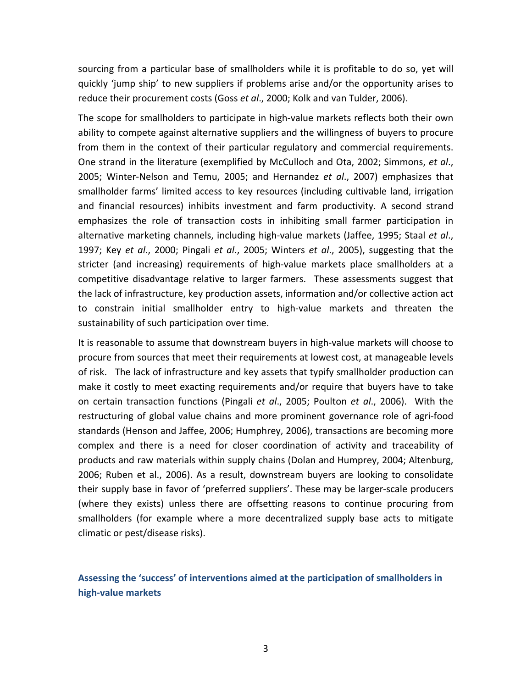sourcing from a particular base of smallholders while it is profitable to do so, yet will quickly 'jump ship' to new suppliers if problems arise and/or the opportunity arises to reduce their procurement costs (Goss *et al*., 2000; Kolk and van Tulder, 2006).

The scope for smallholders to participate in high-value markets reflects both their own ability to compete against alternative suppliers and the willingness of buyers to procure from them in the context of their particular regulatory and commercial requirements. One strand in the literature (exemplified by McCulloch and Ota, 2002; Simmons, *et al*., 2005; Winter‐Nelson and Temu, 2005; and Hernandez *et al*., 2007) emphasizes that smallholder farms' limited access to key resources (including cultivable land, irrigation and financial resources) inhibits investment and farm productivity. A second strand emphasizes the role of transaction costs in inhibiting small farmer participation in alternative marketing channels, including high‐value markets (Jaffee, 1995; Staal *et al*., 1997; Key *et al*., 2000; Pingali *et al*., 2005; Winters *et al*., 2005), suggesting that the stricter (and increasing) requirements of high‐value markets place smallholders at a competitive disadvantage relative to larger farmers. These assessments suggest that the lack of infrastructure, key production assets, information and/or collective action act to constrain initial smallholder entry to high‐value markets and threaten the sustainability of such participation over time.

It is reasonable to assume that downstream buyers in high‐value markets will choose to procure from sources that meet their requirements at lowest cost, at manageable levels of risk. The lack of infrastructure and key assets that typify smallholder production can make it costly to meet exacting requirements and/or require that buyers have to take on certain transaction functions (Pingali *et al*., 2005; Poulton *et al*., 2006). With the restructuring of global value chains and more prominent governance role of agri‐food standards (Henson and Jaffee, 2006; Humphrey, 2006), transactions are becoming more complex and there is a need for closer coordination of activity and traceability of products and raw materials within supply chains (Dolan and Humprey, 2004; Altenburg, 2006; Ruben et al., 2006). As a result, downstream buyers are looking to consolidate their supply base in favor of 'preferred suppliers'. These may be larger‐scale producers (where they exists) unless there are offsetting reasons to continue procuring from smallholders (for example where a more decentralized supply base acts to mitigate climatic or pest/disease risks).

## **Assessing the 'success' of interventions aimed at the participation of smallholders in high‐value markets**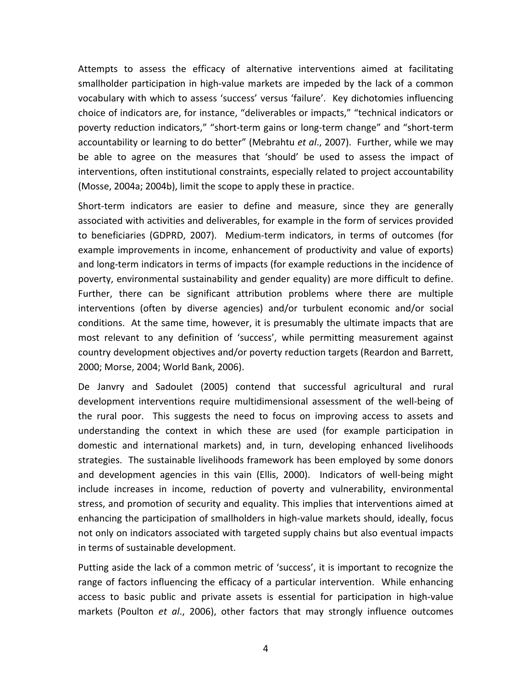Attempts to assess the efficacy of alternative interventions aimed at facilitating smallholder participation in high‐value markets are impeded by the lack of a common vocabulary with which to assess 'success' versus 'failure'. Key dichotomies influencing choice of indicators are, for instance, "deliverables or impacts," "technical indicators or poverty reduction indicators," "short‐term gains or long‐term change" and "short‐term accountability or learning to do better" (Mebrahtu *et al*., 2007). Further, while we may be able to agree on the measures that 'should' be used to assess the impact of interventions, often institutional constraints, especially related to project accountability (Mosse, 2004a; 2004b), limit the scope to apply these in practice.

Short-term indicators are easier to define and measure, since they are generally associated with activities and deliverables, for example in the form of services provided to beneficiaries (GDPRD, 2007). Medium‐term indicators, in terms of outcomes (for example improvements in income, enhancement of productivity and value of exports) and long‐term indicators in terms of impacts (for example reductions in the incidence of poverty, environmental sustainability and gender equality) are more difficult to define. Further, there can be significant attribution problems where there are multiple interventions (often by diverse agencies) and/or turbulent economic and/or social conditions. At the same time, however, it is presumably the ultimate impacts that are most relevant to any definition of 'success', while permitting measurement against country development objectives and/or poverty reduction targets (Reardon and Barrett, 2000; Morse, 2004; World Bank, 2006).

De Janvry and Sadoulet (2005) contend that successful agricultural and rural development interventions require multidimensional assessment of the well‐being of the rural poor. This suggests the need to focus on improving access to assets and understanding the context in which these are used (for example participation in domestic and international markets) and, in turn, developing enhanced livelihoods strategies. The sustainable livelihoods framework has been employed by some donors and development agencies in this vain (Ellis, 2000). Indicators of well‐being might include increases in income, reduction of poverty and vulnerability, environmental stress, and promotion of security and equality. This implies that interventions aimed at enhancing the participation of smallholders in high-value markets should, ideally, focus not only on indicators associated with targeted supply chains but also eventual impacts in terms of sustainable development.

Putting aside the lack of a common metric of 'success', it is important to recognize the range of factors influencing the efficacy of a particular intervention. While enhancing access to basic public and private assets is essential for participation in high‐value markets (Poulton *et al*., 2006), other factors that may strongly influence outcomes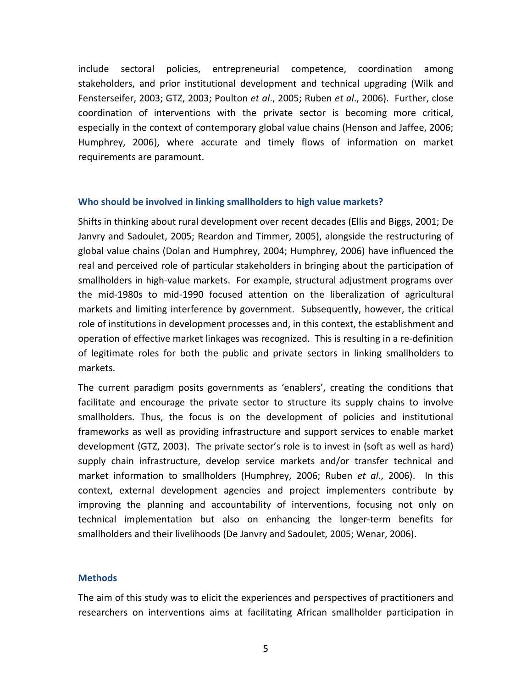include sectoral policies, entrepreneurial competence, coordination among stakeholders, and prior institutional development and technical upgrading (Wilk and Fensterseifer, 2003; GTZ, 2003; Poulton *et al*., 2005; Ruben *et al*., 2006). Further, close coordination of interventions with the private sector is becoming more critical, especially in the context of contemporary global value chains (Henson and Jaffee, 2006; Humphrey, 2006), where accurate and timely flows of information on market requirements are paramount.

#### **Who should be involved in linking smallholders to high value markets?**

Shifts in thinking about rural development over recent decades (Ellis and Biggs, 2001; De Janvry and Sadoulet, 2005; Reardon and Timmer, 2005), alongside the restructuring of global value chains (Dolan and Humphrey, 2004; Humphrey, 2006) have influenced the real and perceived role of particular stakeholders in bringing about the participation of smallholders in high‐value markets. For example, structural adjustment programs over the mid‐1980s to mid‐1990 focused attention on the liberalization of agricultural markets and limiting interference by government. Subsequently, however, the critical role of institutions in development processes and, in this context, the establishment and operation of effective market linkages was recognized. This is resulting in a re‐definition of legitimate roles for both the public and private sectors in linking smallholders to markets.

The current paradigm posits governments as 'enablers', creating the conditions that facilitate and encourage the private sector to structure its supply chains to involve smallholders. Thus, the focus is on the development of policies and institutional frameworks as well as providing infrastructure and support services to enable market development (GTZ, 2003). The private sector's role is to invest in (soft as well as hard) supply chain infrastructure, develop service markets and/or transfer technical and market information to smallholders (Humphrey, 2006; Ruben *et al*., 2006). In this context, external development agencies and project implementers contribute by improving the planning and accountability of interventions, focusing not only on technical implementation but also on enhancing the longer‐term benefits for smallholders and their livelihoods (De Janvry and Sadoulet, 2005; Wenar, 2006).

#### **Methods**

The aim of this study was to elicit the experiences and perspectives of practitioners and researchers on interventions aims at facilitating African smallholder participation in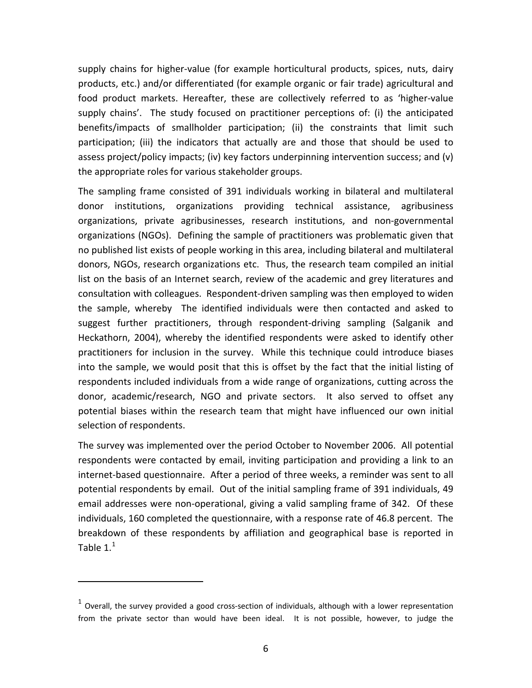<span id="page-8-0"></span>supply chains for higher‐value (for example horticultural products, spices, nuts, dairy products, etc.) and/or differentiated (for example organic or fair trade) agricultural and food product markets. Hereafter, these are collectively referred to as 'higher-value supply chains'. The study focused on practitioner perceptions of: (i) the anticipated benefits/impacts of smallholder participation; (ii) the constraints that limit such participation; (iii) the indicators that actually are and those that should be used to assess project/policy impacts; (iv) key factors underpinning intervention success; and (v) the appropriate roles for various stakeholder groups.

The sampling frame consisted of 391 individuals working in bilateral and multilateral donor institutions, organizations providing technical assistance, agribusiness organizations, private agribusinesses, research institutions, and non‐governmental organizations (NGOs). Defining the sample of practitioners was problematic given that no published list exists of people working in this area, including bilateral and multilateral donors, NGOs, research organizations etc. Thus, the research team compiled an initial list on the basis of an Internet search, review of the academic and grey literatures and consultation with colleagues. Respondent‐driven sampling was then employed to widen the sample, whereby The identified individuals were then contacted and asked to suggest further practitioners, through respondent‐driving sampling (Salganik and Heckathorn, 2004), whereby the identified respondents were asked to identify other practitioners for inclusion in the survey. While this technique could introduce biases into the sample, we would posit that this is offset by the fact that the initial listing of respondents included individuals from a wide range of organizations, cutting across the donor, academic/research, NGO and private sectors. It also served to offset any potential biases within the research team that might have influenced our own initial selection of respondents.

The survey was implemented over the period October to November 2006. All potential respondents were contacted by email, inviting participation and providing a link to an internet-based questionnaire. After a period of three weeks, a reminder was sent to all potential respondents by email. Out of the initial sampling frame of 391 individuals, 49 email addresses were non‐operational, giving a valid sampling frame of 342. Of these individuals, 160 completed the questionnaire, with a response rate of 46.8 percent. The breakdown of these respondents by affiliation and geographical base is reported in Table  $1<sup>1</sup>$  $1<sup>1</sup>$ 

 $1$  Overall, the survey provided a good cross-section of individuals, although with a lower representation from the private sector than would have been ideal. It is not possible, however, to judge the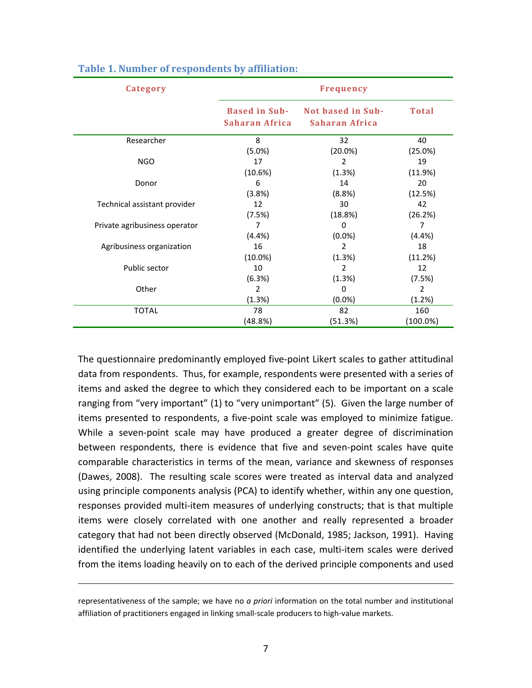| Category                      | <b>Frequency</b>                       |                                     |               |  |  |
|-------------------------------|----------------------------------------|-------------------------------------|---------------|--|--|
|                               | <b>Based in Sub-</b><br>Saharan Africa | Not based in Sub-<br>Saharan Africa | <b>Total</b>  |  |  |
| Researcher                    | 8                                      | 32                                  | 40            |  |  |
| <b>NGO</b>                    | (5.0%)                                 | $(20.0\%)$                          | (25.0%)       |  |  |
|                               | 17                                     | 2                                   | 19            |  |  |
| Donor                         | (10.6%)                                | (1.3%)                              | (11.9%)       |  |  |
|                               | 6                                      | 14                                  | 20            |  |  |
| Technical assistant provider  | (3.8%)                                 | (8.8%)                              | (12.5%)       |  |  |
|                               | 12                                     | 30                                  | 42            |  |  |
| Private agribusiness operator | (7.5%)                                 | (18.8%)                             | (26.2%)       |  |  |
|                               | 7                                      | 0                                   | 7             |  |  |
| Agribusiness organization     | (4.4%)                                 | $(0.0\%)$                           | (4.4%)        |  |  |
|                               | 16                                     | $\mathfrak{p}$                      | 18            |  |  |
| Public sector                 | $(10.0\%)$                             | (1.3%)                              | (11.2%)       |  |  |
|                               | 10                                     | 2                                   | 12            |  |  |
| Other                         | (6.3%)                                 | (1.3%)                              | (7.5%)        |  |  |
|                               | 2                                      | 0                                   | $\mathcal{P}$ |  |  |
|                               | (1.3%)                                 | $(0.0\%)$                           | (1.2%)        |  |  |
| <b>TOTAL</b>                  | 78                                     | 82                                  | 160           |  |  |
|                               | (48.8%)                                | (51.3%)                             | $(100.0\%)$   |  |  |

#### **Table 1. Number of respondents by affiliation:**

The questionnaire predominantly employed five‐point Likert scales to gather attitudinal data from respondents. Thus, for example, respondents were presented with a series of items and asked the degree to which they considered each to be important on a scale ranging from "very important" (1) to "very unimportant" (5). Given the large number of items presented to respondents, a five‐point scale was employed to minimize fatigue. While a seven-point scale may have produced a greater degree of discrimination between respondents, there is evidence that five and seven-point scales have quite comparable characteristics in terms of the mean, variance and skewness of responses (Dawes, 2008). The resulting scale scores were treated as interval data and analyzed using principle components analysis (PCA) to identify whether, within any one question, responses provided multi-item measures of underlying constructs; that is that multiple items were closely correlated with one another and really represented a broader category that had not been directly observed (McDonald, 1985; Jackson, 1991). Having identified the underlying latent variables in each case, multi‐item scales were derived from the items loading heavily on to each of the derived principle components and used

<u> 1989 - Johann Barbara, marka a shekara tsa na shekara tsa na shekara tsa 1989 - An tsa na shekara tsa 1989 -</u>

representativeness of the sample; we have no *a priori* information on the total number and institutional affiliation of practitioners engaged in linking small‐scale producers to high‐value markets.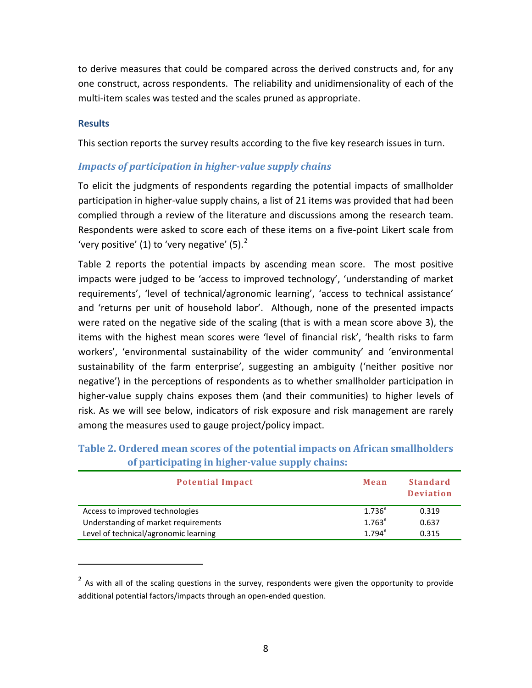<span id="page-10-0"></span>to derive measures that could be compared across the derived constructs and, for any one construct, across respondents. The reliability and unidimensionality of each of the multi‐item scales was tested and the scales pruned as appropriate.

#### **Results**

This section reports the survey results according to the five key research issues in turn.

## *Impacts of participation in highervalue supply chains*

To elicit the judgments of respondents regarding the potential impacts of smallholder participation in higher-value supply chains, a list of 21 items was provided that had been complied through a review of the literature and discussions among the research team. Respondents were asked to score each of these items on a five‐point Likert scale from 'very positive' (1) to 'very negative'  $(5)$ .<sup>[2](#page-10-0)</sup>

Table 2 reports the potential impacts by ascending mean score. The most positive impacts were judged to be 'access to improved technology', 'understanding of market requirements', 'level of technical/agronomic learning', 'access to technical assistance' and 'returns per unit of household labor'. Although, none of the presented impacts were rated on the negative side of the scaling (that is with a mean score above 3), the items with the highest mean scores were 'level of financial risk', 'health risks to farm workers', 'environmental sustainability of the wider community' and 'environmental sustainability of the farm enterprise', suggesting an ambiguity ('neither positive nor negative') in the perceptions of respondents as to whether smallholder participation in higher-value supply chains exposes them (and their communities) to higher levels of risk. As we will see below, indicators of risk exposure and risk management are rarely among the measures used to gauge project/policy impact.

| <b>Potential Impact</b>               | Mean                 | <b>Standard</b><br><b>Deviation</b> |
|---------------------------------------|----------------------|-------------------------------------|
| Access to improved technologies       | $1.736^{a}$          | 0.319                               |
| Understanding of market requirements  | $1.763$ <sup>a</sup> | 0.637                               |
| Level of technical/agronomic learning | $1.794$ <sup>a</sup> | 0.315                               |

## **Table 2. Ordered mean scores of the potential impacts on African smallholders of participating in highervalue supply chains:**

 $2$  As with all of the scaling questions in the survey, respondents were given the opportunity to provide additional potential factors/impacts through an open‐ended question.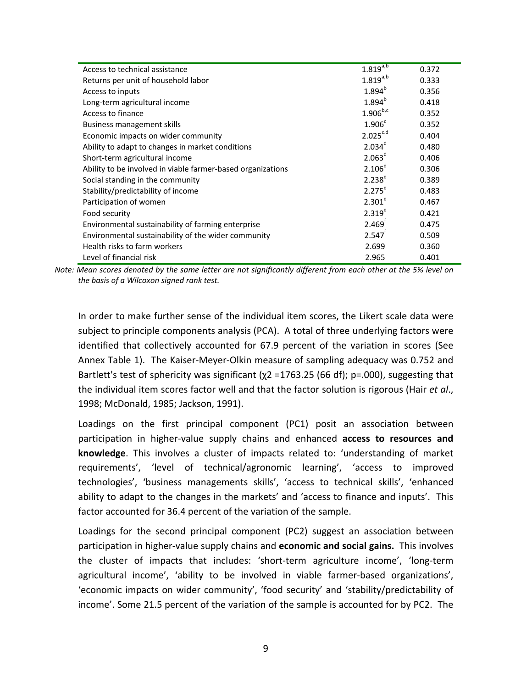| Access to technical assistance                              | $1.819^{a,b}$        | 0.372 |
|-------------------------------------------------------------|----------------------|-------|
| Returns per unit of household labor                         | $1.819^{a,b}$        | 0.333 |
| Access to inputs                                            | $1.894^{b}$          | 0.356 |
| Long-term agricultural income                               | $1.894^{b}$          | 0.418 |
| Access to finance                                           | $1.906^{b,c}$        | 0.352 |
| Business management skills                                  | 1.906 <sup>c</sup>   | 0.352 |
| Economic impacts on wider community                         | $2.025^{c.d}$        | 0.404 |
| Ability to adapt to changes in market conditions            | $2.034^d$            | 0.480 |
| Short-term agricultural income                              | $2.063^d$            | 0.406 |
| Ability to be involved in viable farmer-based organizations | $2.106^{d}$          | 0.306 |
| Social standing in the community                            | $2.238^{e}$          | 0.389 |
| Stability/predictability of income                          | $2.275^e$            | 0.483 |
| Participation of women                                      | $2.301^e$            | 0.467 |
| Food security                                               | $2.319^{e}$          | 0.421 |
| Environmental sustainability of farming enterprise          | 2.469 <sup>f</sup>   | 0.475 |
| Environmental sustainability of the wider community         | $2.547$ <sup>f</sup> | 0.509 |
| Health risks to farm workers                                | 2.699                | 0.360 |
| Level of financial risk                                     | 2.965                | 0.401 |

Note: Mean scores denoted by the same letter are not significantly different from each other at the 5% level on *the basis of a Wilcoxon signed rank test.*

In order to make further sense of the individual item scores, the Likert scale data were subject to principle components analysis (PCA). A total of three underlying factors were identified that collectively accounted for 67.9 percent of the variation in scores (See Annex Table 1). The Kaiser‐Meyer‐Olkin measure of sampling adequacy was 0.752 and Bartlett's test of sphericity was significant ( $\chi$ 2 =1763.25 (66 df); p=.000), suggesting that the individual item scores factor well and that the factor solution is rigorous (Hair *et al*., 1998; McDonald, 1985; Jackson, 1991).

Loadings on the first principal component (PC1) posit an association between participation in higher‐value supply chains and enhanced **access to resources and knowledge**. This involves a cluster of impacts related to: 'understanding of market requirements', 'level of technical/agronomic learning', 'access to improved technologies', 'business managements skills', 'access to technical skills', 'enhanced ability to adapt to the changes in the markets' and 'access to finance and inputs'. This factor accounted for 36.4 percent of the variation of the sample.

Loadings for the second principal component (PC2) suggest an association between participation in higher‐value supply chains and **economic and social gains.** This involves the cluster of impacts that includes: 'short‐term agriculture income', 'long‐term agricultural income', 'ability to be involved in viable farmer‐based organizations', 'economic impacts on wider community', 'food security' and 'stability/predictability of income'. Some 21.5 percent of the variation of the sample is accounted for by PC2. The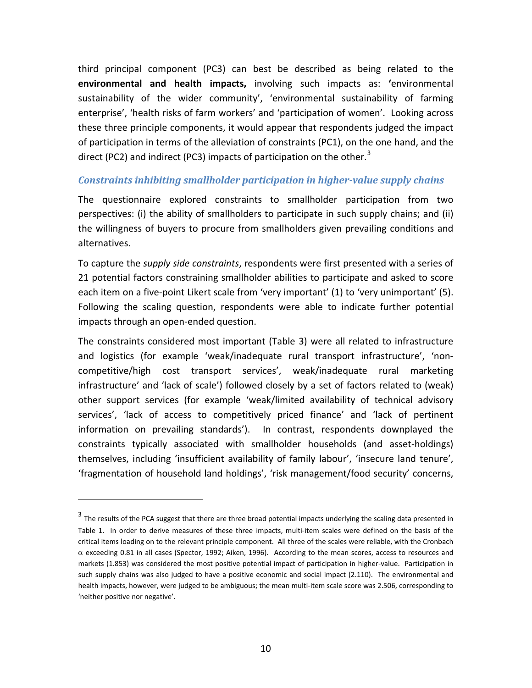<span id="page-12-0"></span>third principal component (PC3) can best be described as being related to the **environmental and health impacts,** involving such impacts as: **'**environmental sustainability of the wider community', 'environmental sustainability of farming enterprise', 'health risks of farm workers' and 'participation of women'. Looking across these three principle components, it would appear that respondents judged the impact of participation in terms of the alleviation of constraints (PC1), on the one hand, and the direct (PC2) and indirect (PC[3](#page-12-0)) impacts of participation on the other.<sup>3</sup>

#### *Constraints inhibiting smallholder participation in highervalue supply chains*

The questionnaire explored constraints to smallholder participation from two perspectives: (i) the ability of smallholders to participate in such supply chains; and (ii) the willingness of buyers to procure from smallholders given prevailing conditions and alternatives.

To capture the *supply side constraints*, respondents were first presented with a series of 21 potential factors constraining smallholder abilities to participate and asked to score each item on a five-point Likert scale from 'very important' (1) to 'very unimportant' (5). Following the scaling question, respondents were able to indicate further potential impacts through an open‐ended question.

The constraints considered most important (Table 3) were all related to infrastructure and logistics (for example 'weak/inadequate rural transport infrastructure', 'non‐ competitive/high cost transport services', weak/inadequate rural marketing infrastructure' and 'lack of scale') followed closely by a set of factors related to (weak) other support services (for example 'weak/limited availability of technical advisory services', 'lack of access to competitively priced finance' and 'lack of pertinent information on prevailing standards'). In contrast, respondents downplayed the constraints typically associated with smallholder households (and asset‐holdings) themselves, including 'insufficient availability of family labour', 'insecure land tenure', 'fragmentation of household land holdings', 'risk management/food security' concerns,

 $3$  The results of the PCA suggest that there are three broad potential impacts underlying the scaling data presented in Table 1. In order to derive measures of these three impacts, multi-item scales were defined on the basis of the critical items loading on to the relevant principle component. All three of the scales were reliable, with the Cronbach  $\alpha$  exceeding 0.81 in all cases (Spector, 1992; Aiken, 1996). According to the mean scores, access to resources and markets (1.853) was considered the most positive potential impact of participation in higher‐value. Participation in such supply chains was also judged to have a positive economic and social impact (2.110). The environmental and health impacts, however, were judged to be ambiguous; the mean multi-item scale score was 2.506, corresponding to 'neither positive nor negative'.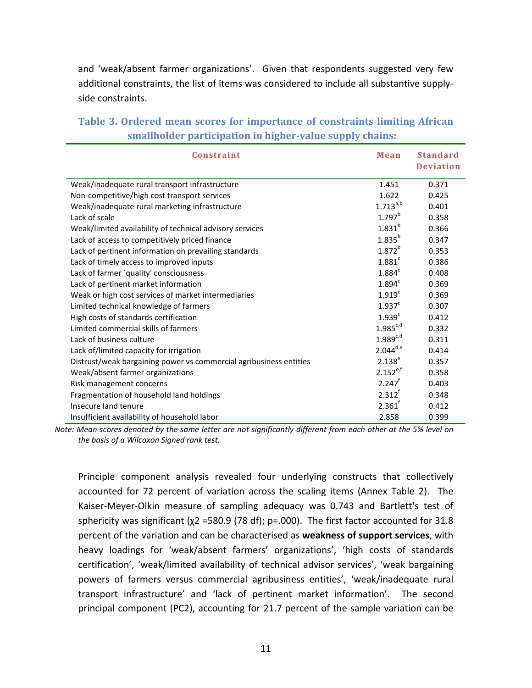and 'weak/absent farmer organizations'. Given that respondents suggested very few additional constraints, the list of items was considered to include all substantive supply‐ side constraints.

|                                                                             | $\mathbf{r}$ $\mathbf{r}$ $\mathbf{r}$ $\mathbf{r}$ $\mathbf{r}$ $\mathbf{r}$ $\mathbf{r}$ |
|-----------------------------------------------------------------------------|--------------------------------------------------------------------------------------------|
| smallholder participation in higher-value supply chains:                    |                                                                                            |
| Table 3. Ordered mean scores for importance of constraints limiting African |                                                                                            |

| Constraint                                                         | Mean                 | <b>Standard</b>  |
|--------------------------------------------------------------------|----------------------|------------------|
|                                                                    |                      | <b>Deviation</b> |
| Weak/inadequate rural transport infrastructure                     | 1.451                | 0.371            |
| Non-competitive/high cost transport services                       | 1.622                | 0.425            |
| Weak/inadequate rural marketing infrastructure                     | $1.713^{a,b}$        | 0.401            |
| Lack of scale                                                      | 1.797 <sup>b</sup>   | 0.358            |
| Weak/limited availability of technical advisory services           | $1.831^{b}$          | 0.366            |
| Lack of access to competitively priced finance                     | 1.835 <sup>b</sup>   | 0.347            |
| Lack of pertinent information on prevailing standards              | $1.872^{b}$          | 0.353            |
| Lack of timely access to improved inputs                           | $1.881$ <sup>c</sup> | 0.386            |
| Lack of farmer `quality' consciousness                             | $1.884$ <sup>c</sup> | 0.408            |
| Lack of pertinent market information                               | 1.894 <sup>c</sup>   | 0.369            |
| Weak or high cost services of market intermediaries                | 1.919 <sup>c</sup>   | 0.369            |
| Limited technical knowledge of farmers                             | 1.937 <sup>c</sup>   | 0.307            |
| High costs of standards certification                              | 1.939 <sup>c</sup>   | 0.412            |
| Limited commercial skills of farmers                               | $1.985^{c,d}$        | 0.332            |
| Lack of business culture                                           | $1.989^{c,d}$        | 0.311            |
| Lack of/limited capacity for irrigation                            | $2.044^{d,e}$        | 0.414            |
| Distrust/weak bargaining power vs commercial agribusiness entities | $2.138^{e}$          | 0.357            |
| Weak/absent farmer organizations                                   | $2.152^{e,f}$        | 0.358            |
| Risk management concerns                                           | $2.247$ <sup>f</sup> | 0.403            |
| Fragmentation of household land holdings                           | $2.312^{f}$          | 0.348            |
| Insecure land tenure                                               | $2.361^{f}$          | 0.412            |
| Insufficient availability of household labor                       | 2.858                | 0.399            |

Note: Mean scores denoted by the same letter are not significantly different from each other at the 5% level on *the basis of a Wilcoxon Signed rank test.*

Principle component analysis revealed four underlying constructs that collectively accounted for 72 percent of variation across the scaling items (Annex Table 2). The Kaiser‐Meyer‐Olkin measure of sampling adequacy was 0.743 and Bartlett's test of sphericity was significant ( $\chi$ 2 =580.9 (78 df); p=.000). The first factor accounted for 31.8 percent of the variation and can be characterised as **weakness of support services**, with heavy loadings for 'weak/absent farmers' organizations', 'high costs of standards certification', 'weak/limited availability of technical advisor services', 'weak bargaining powers of farmers versus commercial agribusiness entities', 'weak/inadequate rural transport infrastructure' and 'lack of pertinent market information'. The second principal component (PC2), accounting for 21.7 percent of the sample variation can be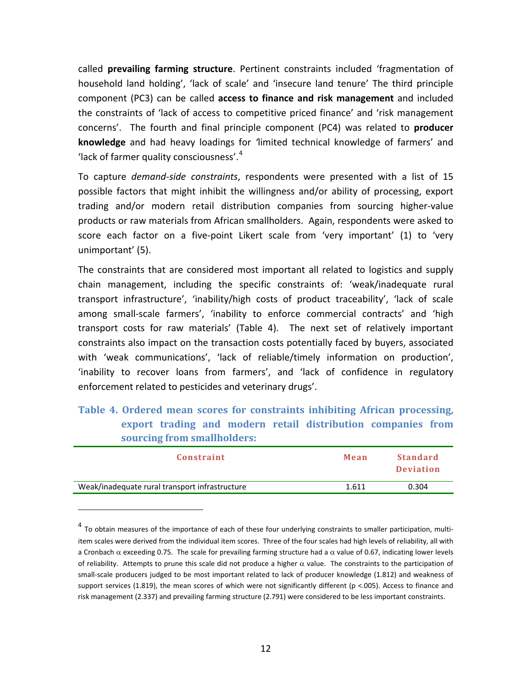<span id="page-14-0"></span>called **prevailing farming structure**. Pertinent constraints included 'fragmentation of household land holding', 'lack of scale' and 'insecure land tenure' The third principle component (PC3) can be called **access to finance and risk management** and included the constraints of 'lack of access to competitive priced finance' and 'risk management concerns'. The fourth and final principle component (PC4) was related to **producer knowledge** and had heavy loadings for *'*limited technical knowledge of farmers' and 'lack of farmer quality consciousness'.[4](#page-14-0)

To capture *demand‐side constraints*, respondents were presented with a list of 15 possible factors that might inhibit the willingness and/or ability of processing, export trading and/or modern retail distribution companies from sourcing higher‐value products or raw materials from African smallholders. Again, respondents were asked to score each factor on a five-point Likert scale from 'very important' (1) to 'very unimportant' (5).

The constraints that are considered most important all related to logistics and supply chain management, including the specific constraints of: 'weak/inadequate rural transport infrastructure', 'inability/high costs of product traceability', 'lack of scale among small-scale farmers', 'inability to enforce commercial contracts' and 'high transport costs for raw materials' (Table 4). The next set of relatively important constraints also impact on the transaction costs potentially faced by buyers, associated with 'weak communications', 'lack of reliable/timely information on production', 'inability to recover loans from farmers', and 'lack of confidence in regulatory enforcement related to pesticides and veterinary drugs'.

**Table 4. Ordered mean scores for constraints inhibiting African processing, export trading and modern retail distribution companies from sourcing from smallholders:**

| Constraint                                     | Mean  | Standard<br><b>Deviation</b> |
|------------------------------------------------|-------|------------------------------|
| Weak/inadequate rural transport infrastructure | 1.611 | 0.304                        |

 $4$  To obtain measures of the importance of each of these four underlying constraints to smaller participation, multiitem scales were derived from the individual item scores. Three of the four scales had high levels of reliability, all with a Cronbach  $\alpha$  exceeding 0.75. The scale for prevailing farming structure had a  $\alpha$  value of 0.67, indicating lower levels of reliability. Attempts to prune this scale did not produce a higher  $\alpha$  value. The constraints to the participation of small-scale producers judged to be most important related to lack of producer knowledge (1.812) and weakness of support services (1.819), the mean scores of which were not significantly different (p <.005). Access to finance and risk management (2.337) and prevailing farming structure (2.791) were considered to be less important constraints.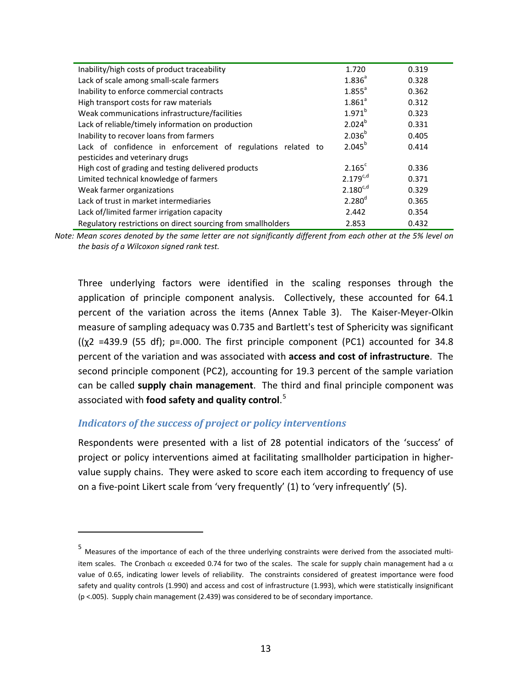<span id="page-15-0"></span>

| Inability/high costs of product traceability                 | 1.720         | 0.319 |
|--------------------------------------------------------------|---------------|-------|
| Lack of scale among small-scale farmers                      | $1.836^{a}$   | 0.328 |
| Inability to enforce commercial contracts                    | $1.855^a$     | 0.362 |
| High transport costs for raw materials                       | $1.861^a$     | 0.312 |
| Weak communications infrastructure/facilities                | $1.971^{b}$   | 0.323 |
| Lack of reliable/timely information on production            | $2.024^{b}$   | 0.331 |
| Inability to recover loans from farmers                      | $2.036^{b}$   | 0.405 |
| Lack of confidence in enforcement of regulations related to  | $2.045^{b}$   | 0.414 |
| pesticides and veterinary drugs                              |               |       |
| High cost of grading and testing delivered products          | $2.165^c$     | 0.336 |
| Limited technical knowledge of farmers                       | $2.179^{c,d}$ | 0.371 |
| Weak farmer organizations                                    | $2.180^{c,d}$ | 0.329 |
| Lack of trust in market intermediaries                       | $2.280^{d}$   | 0.365 |
| Lack of/limited farmer irrigation capacity                   | 2.442         | 0.354 |
| Regulatory restrictions on direct sourcing from smallholders | 2.853         | 0.432 |

Note: Mean scores denoted by the same letter are not significantly different from each other at the 5% level on *the basis of a Wilcoxon signed rank test.*

Three underlying factors were identified in the scaling responses through the application of principle component analysis. Collectively, these accounted for 64.1 percent of the variation across the items (Annex Table 3). The Kaiser‐Meyer‐Olkin measure of sampling adequacy was 0.735 and Bartlett's test of Sphericity was significant  $((x2 = 439.9 (55 df))$ ; p=.000. The first principle component (PC1) accounted for 34.8 percent of the variation and was associated with **access and cost of infrastructure**. The second principle component (PC2), accounting for 19.3 percent of the sample variation can be called **supply chain management**. The third and final principle component was associated with **food safety and quality control**. [5](#page-15-0)

#### *Indicators of the success of project or policy interventions*

Respondents were presented with a list of 28 potential indicators of the 'success' of project or policy interventions aimed at facilitating smallholder participation in higher‐ value supply chains. They were asked to score each item according to frequency of use on a five‐point Likert scale from 'very frequently' (1) to 'very infrequently' (5).

<sup>5</sup> Measures of the importance of each of the three underlying constraints were derived from the associated multi‐ item scales. The Cronbach  $\alpha$  exceeded 0.74 for two of the scales. The scale for supply chain management had a  $\alpha$ value of 0.65, indicating lower levels of reliability. The constraints considered of greatest importance were food safety and quality controls (1.990) and access and cost of infrastructure (1.993), which were statistically insignificant (p <.005). Supply chain management (2.439) was considered to be of secondary importance.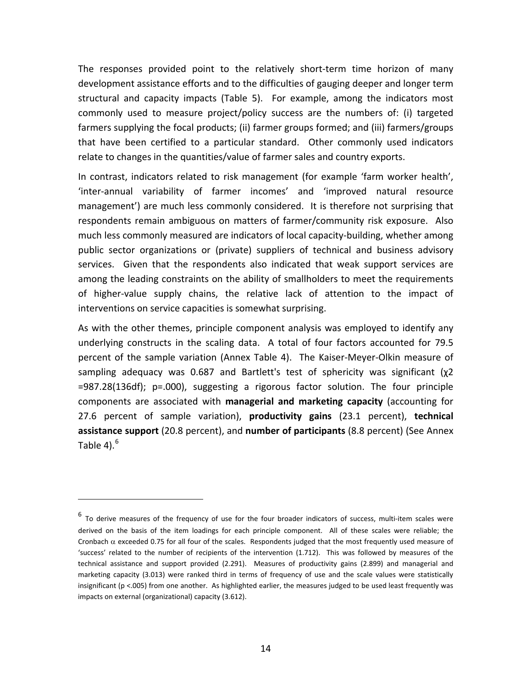<span id="page-16-0"></span>The responses provided point to the relatively short‐term time horizon of many development assistance efforts and to the difficulties of gauging deeper and longer term structural and capacity impacts (Table 5). For example, among the indicators most commonly used to measure project/policy success are the numbers of: (i) targeted farmers supplying the focal products; (ii) farmer groups formed; and (iii) farmers/groups that have been certified to a particular standard. Other commonly used indicators relate to changes in the quantities/value of farmer sales and country exports.

In contrast, indicators related to risk management (for example 'farm worker health', 'inter‐annual variability of farmer incomes' and 'improved natural resource management') are much less commonly considered. It is therefore not surprising that respondents remain ambiguous on matters of farmer/community risk exposure. Also much less commonly measured are indicators of local capacity‐building, whether among public sector organizations or (private) suppliers of technical and business advisory services. Given that the respondents also indicated that weak support services are among the leading constraints on the ability of smallholders to meet the requirements of higher‐value supply chains, the relative lack of attention to the impact of interventions on service capacities is somewhat surprising.

As with the other themes, principle component analysis was employed to identify any underlying constructs in the scaling data. A total of four factors accounted for 79.5 percent of the sample variation (Annex Table 4). The Kaiser-Meyer-Olkin measure of sampling adequacy was 0.687 and Bartlett's test of sphericity was significant (χ2 =987.28(136df); p=.000), suggesting a rigorous factor solution. The four principle components are associated with **managerial and marketing capacity** (accounting for 27.6 percent of sample variation), **productivity gains** (23.1 percent), **technical assistance support** (20.8 percent), and **number of participants** (8.8 percent) (See Annex Table 4). $^6$  $^6$ 

 $6$  To derive measures of the frequency of use for the four broader indicators of success, multi-item scales were derived on the basis of the item loadings for each principle component. All of these scales were reliable; the Cronbach  $\alpha$  exceeded 0.75 for all four of the scales. Respondents judged that the most frequently used measure of 'success' related to the number of recipients of the intervention (1.712). This was followed by measures of the technical assistance and support provided (2.291). Measures of productivity gains (2.899) and managerial and marketing capacity (3.013) were ranked third in terms of frequency of use and the scale values were statistically insignificant (p <.005) from one another. As highlighted earlier, the measures judged to be used least frequently was impacts on external (organizational) capacity (3.612).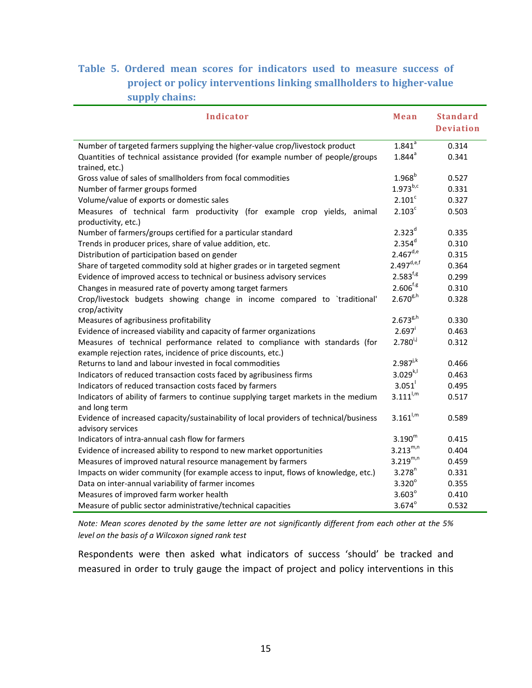## **Table 5. Ordered mean scores for indicators used to measure success of project or policy interventions linking smallholders to highervalue supply chains:**

| <b>Indicator</b>                                                                                            | Mean                   | <b>Standard</b><br><b>Deviation</b> |
|-------------------------------------------------------------------------------------------------------------|------------------------|-------------------------------------|
| Number of targeted farmers supplying the higher-value crop/livestock product                                | $1.841$ <sup>a</sup>   | 0.314                               |
| Quantities of technical assistance provided (for example number of people/groups<br>trained, etc.)          | $1.844^{a}$            | 0.341                               |
| Gross value of sales of smallholders from focal commodities                                                 | $1.968^{b}$            | 0.527                               |
| Number of farmer groups formed                                                                              | $1.973^{b,c}$          | 0.331                               |
| Volume/value of exports or domestic sales                                                                   | 2.101 <sup>c</sup>     | 0.327                               |
| Measures of technical farm productivity (for example crop yields, animal<br>productivity, etc.)             | 2.103 <sup>c</sup>     | 0.503                               |
| Number of farmers/groups certified for a particular standard                                                | $2.323^{d}$            | 0.335                               |
| Trends in producer prices, share of value addition, etc.                                                    | $2.354^{d}$            | 0.310                               |
| Distribution of participation based on gender                                                               | $2.467^{d,e}$          | 0.315                               |
| Share of targeted commodity sold at higher grades or in targeted segment                                    | $2.497^{\text{d,e,f}}$ | 0.364                               |
| Evidence of improved access to technical or business advisory services                                      | $2.583^{f,g}$          | 0.299                               |
| Changes in measured rate of poverty among target farmers                                                    | $2.606^{f.g.}$         | 0.310                               |
| Crop/livestock budgets showing change in income compared to `traditional'<br>crop/activity                  | $2.670^{g,h}$          | 0.328                               |
| Measures of agribusiness profitability                                                                      | $2.673^{g,h}$          | 0.330                               |
| Evidence of increased viability and capacity of farmer organizations                                        | $2.697$ <sup>i</sup>   | 0.463                               |
| Measures of technical performance related to compliance with standards (for                                 | $2.780^{i,j}$          | 0.312                               |
| example rejection rates, incidence of price discounts, etc.)                                                |                        |                                     |
| Returns to land and labour invested in focal commodities                                                    | $2.987^{j,k}$          | 0.466                               |
| Indicators of reduced transaction costs faced by agribusiness firms                                         | $3.029^{k,l}$          | 0.463                               |
| Indicators of reduced transaction costs faced by farmers                                                    | 3.051                  | 0.495                               |
| Indicators of ability of farmers to continue supplying target markets in the medium<br>and long term        | $3.111^{1,m}$          | 0.517                               |
| Evidence of increased capacity/sustainability of local providers of technical/business<br>advisory services | $3.161^{1,m}$          | 0.589                               |
| Indicators of intra-annual cash flow for farmers                                                            | $3.190^{m}$            | 0.415                               |
| Evidence of increased ability to respond to new market opportunities                                        | $3.213^{m,n}$          | 0.404                               |
| Measures of improved natural resource management by farmers                                                 | $3.219^{m,n}$          | 0.459                               |
| Impacts on wider community (for example access to input, flows of knowledge, etc.)                          | $3.278^{n}$            | 0.331                               |
| Data on inter-annual variability of farmer incomes                                                          | $3.320^\circ$          | 0.355                               |
| Measures of improved farm worker health                                                                     | $3.603^\circ$          | 0.410                               |
| Measure of public sector administrative/technical capacities                                                | $3.674^{\circ}$        | 0.532                               |

Note: Mean scores denoted by the same letter are not significantly different from each other at the 5% *level on the basis of a Wilcoxon signed rank test*

Respondents were then asked what indicators of success 'should' be tracked and measured in order to truly gauge the impact of project and policy interventions in this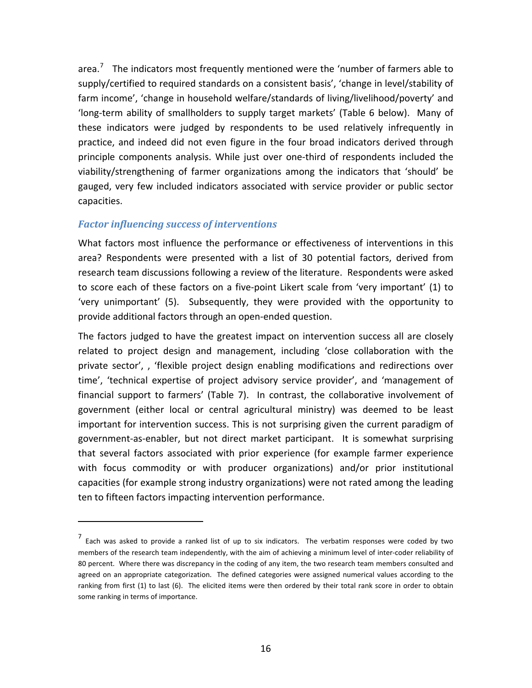<span id="page-18-0"></span>area.<sup>[7](#page-18-0)</sup> The indicators most frequently mentioned were the 'number of farmers able to supply/certified to required standards on a consistent basis', 'change in level/stability of farm income', 'change in household welfare/standards of living/livelihood/poverty' and 'long‐term ability of smallholders to supply target markets' (Table 6 below). Many of these indicators were judged by respondents to be used relatively infrequently in practice, and indeed did not even figure in the four broad indicators derived through principle components analysis. While just over one‐third of respondents included the viability/strengthening of farmer organizations among the indicators that 'should' be gauged, very few included indicators associated with service provider or public sector capacities.

#### *Factor influencing success of interventions*

What factors most influence the performance or effectiveness of interventions in this area? Respondents were presented with a list of 30 potential factors, derived from research team discussions following a review of the literature. Respondents were asked to score each of these factors on a five‐point Likert scale from 'very important' (1) to 'very unimportant' (5). Subsequently, they were provided with the opportunity to provide additional factors through an open‐ended question.

The factors judged to have the greatest impact on intervention success all are closely related to project design and management, including 'close collaboration with the private sector', , 'flexible project design enabling modifications and redirections over time', 'technical expertise of project advisory service provider', and 'management of financial support to farmers' (Table 7). In contrast, the collaborative involvement of government (either local or central agricultural ministry) was deemed to be least important for intervention success. This is not surprising given the current paradigm of government‐as‐enabler, but not direct market participant. It is somewhat surprising that several factors associated with prior experience (for example farmer experience with focus commodity or with producer organizations) and/or prior institutional capacities (for example strong industry organizations) were not rated among the leading ten to fifteen factors impacting intervention performance.

 $<sup>7</sup>$  Each was asked to provide a ranked list of up to six indicators. The verbatim responses were coded by two</sup> members of the research team independently, with the aim of achieving a minimum level of inter‐coder reliability of 80 percent. Where there was discrepancy in the coding of any item, the two research team members consulted and agreed on an appropriate categorization. The defined categories were assigned numerical values according to the ranking from first (1) to last (6). The elicited items were then ordered by their total rank score in order to obtain some ranking in terms of importance.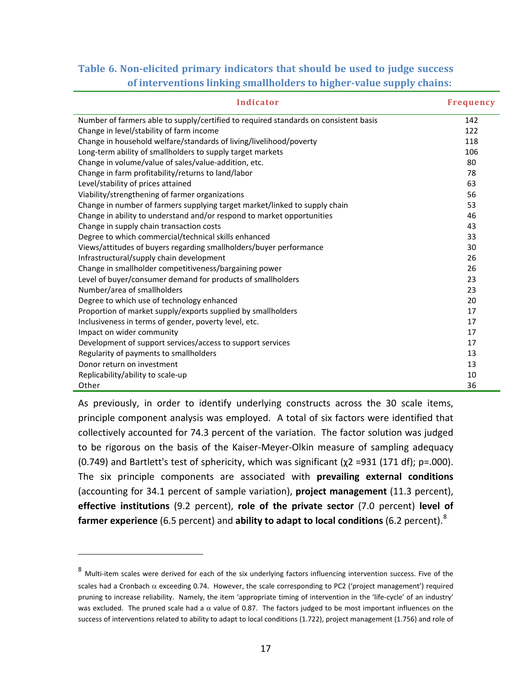## <span id="page-19-0"></span>**Table 6. Nonelicited primary indicators that should be used to judge success of interventions linking smallholders to highervalue supply chains:**

| Indicator                                                                            | <b>Frequency</b> |
|--------------------------------------------------------------------------------------|------------------|
| Number of farmers able to supply/certified to required standards on consistent basis | 142              |
| Change in level/stability of farm income                                             | 122              |
| Change in household welfare/standards of living/livelihood/poverty                   | 118              |
| Long-term ability of smallholders to supply target markets                           | 106              |
| Change in volume/value of sales/value-addition, etc.                                 | 80               |
| Change in farm profitability/returns to land/labor                                   | 78               |
| Level/stability of prices attained                                                   | 63               |
| Viability/strengthening of farmer organizations                                      | 56               |
| Change in number of farmers supplying target market/linked to supply chain           | 53               |
| Change in ability to understand and/or respond to market opportunities               | 46               |
| Change in supply chain transaction costs                                             | 43               |
| Degree to which commercial/technical skills enhanced                                 | 33               |
| Views/attitudes of buyers regarding smallholders/buyer performance                   | 30               |
| Infrastructural/supply chain development                                             | 26               |
| Change in smallholder competitiveness/bargaining power                               | 26               |
| Level of buyer/consumer demand for products of smallholders                          | 23               |
| Number/area of smallholders                                                          | 23               |
| Degree to which use of technology enhanced                                           | 20               |
| Proportion of market supply/exports supplied by smallholders                         | 17               |
| Inclusiveness in terms of gender, poverty level, etc.                                | 17               |
| Impact on wider community                                                            | 17               |
| Development of support services/access to support services                           | 17               |
| Regularity of payments to smallholders                                               | 13               |
| Donor return on investment                                                           | 13               |
| Replicability/ability to scale-up                                                    | 10               |
| Other                                                                                | 36               |

As previously, in order to identify underlying constructs across the 30 scale items, principle component analysis was employed. A total of six factors were identified that collectively accounted for 74.3 percent of the variation. The factor solution was judged to be rigorous on the basis of the Kaiser‐Meyer‐Olkin measure of sampling adequacy (0.749) and Bartlett's test of sphericity, which was significant ( $\chi$ 2 =931 (171 df); p=.000). The six principle components are associated with **prevailing external conditions** (accounting for 34.1 percent of sample variation), **project management** (11.3 percent), **effective institutions** (9.2 percent), **role of the private sector** (7.0 percent) **level of farmer experience** (6.5 percent) and **ability to adapt to local conditions** (6.2 percent).[8](#page-19-0)

 $8$  Multi-item scales were derived for each of the six underlying factors influencing intervention success. Five of the scales had a Cronbach  $\alpha$  exceeding 0.74. However, the scale corresponding to PC2 ('project management') required pruning to increase reliability. Namely, the item 'appropriate timing of intervention in the 'life-cycle' of an industry' was excluded. The pruned scale had a  $\alpha$  value of 0.87. The factors judged to be most important influences on the success of interventions related to ability to adapt to local conditions (1.722), project management (1.756) and role of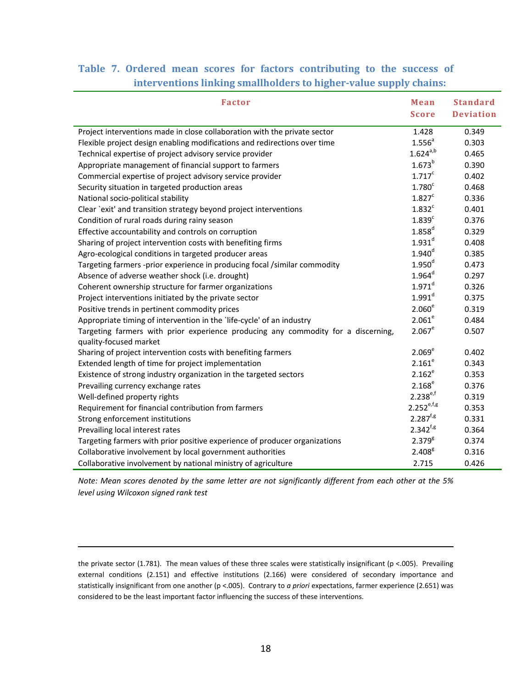|  |  |  | Table 7. Ordered mean scores for factors contributing to the success of |  |  |
|--|--|--|-------------------------------------------------------------------------|--|--|
|  |  |  | interventions linking smallholders to higher-value supply chains:       |  |  |

| <b>Factor</b>                                                                                               | Mean                 | <b>Standard</b>  |
|-------------------------------------------------------------------------------------------------------------|----------------------|------------------|
|                                                                                                             | <b>Score</b>         | <b>Deviation</b> |
| Project interventions made in close collaboration with the private sector                                   | 1.428                | 0.349            |
| Flexible project design enabling modifications and redirections over time                                   | 1.556 <sup>a</sup>   | 0.303            |
| Technical expertise of project advisory service provider                                                    | $1.624^{a,b}$        | 0.465            |
| Appropriate management of financial support to farmers                                                      | $1.673^{b}$          | 0.390            |
| Commercial expertise of project advisory service provider                                                   | $1.717^c$            | 0.402            |
| Security situation in targeted production areas                                                             | 1.780 <sup>c</sup>   | 0.468            |
| National socio-political stability                                                                          | 1.827 <sup>c</sup>   | 0.336            |
| Clear `exit' and transition strategy beyond project interventions                                           | $1.832$ <sup>c</sup> | 0.401            |
| Condition of rural roads during rainy season                                                                | 1.839 <sup>c</sup>   | 0.376            |
| Effective accountability and controls on corruption                                                         | $1.858$ <sup>d</sup> | 0.329            |
| Sharing of project intervention costs with benefiting firms                                                 | $1.931^{d}$          | 0.408            |
| Agro-ecological conditions in targeted producer areas                                                       | 1.940 <sup>d</sup>   | 0.385            |
| Targeting farmers -prior experience in producing focal /similar commodity                                   | 1.950 <sup>d</sup>   | 0.473            |
| Absence of adverse weather shock (i.e. drought)                                                             | $1.964^d$            | 0.297            |
| Coherent ownership structure for farmer organizations                                                       | $1.971^{d}$          | 0.326            |
| Project interventions initiated by the private sector                                                       | $1.991^d$            | 0.375            |
| Positive trends in pertinent commodity prices                                                               | 2.060 <sup>e</sup>   | 0.319            |
| Appropriate timing of intervention in the 'life-cycle' of an industry                                       | 2.061 <sup>e</sup>   | 0.484            |
| Targeting farmers with prior experience producing any commodity for a discerning,<br>quality-focused market | $2.067^e$            | 0.507            |
| Sharing of project intervention costs with benefiting farmers                                               | 2.069 <sup>e</sup>   | 0.402            |
| Extended length of time for project implementation                                                          | 2.161 <sup>e</sup>   | 0.343            |
| Existence of strong industry organization in the targeted sectors                                           | $2.162^e$            | 0.353            |
| Prevailing currency exchange rates                                                                          | 2.168 <sup>e</sup>   | 0.376            |
| Well-defined property rights                                                                                | $2.238^{e,f}$        | 0.319            |
| Requirement for financial contribution from farmers                                                         | $2.252^{e,f,g}$      | 0.353            |
| Strong enforcement institutions                                                                             | $2.287^{f,g}$        | 0.331            |
| Prevailing local interest rates                                                                             | $2.342^{f,g}$        | 0.364            |
| Targeting farmers with prior positive experience of producer organizations                                  | $2.379^{8}$          | 0.374            |
| Collaborative involvement by local government authorities                                                   | 2.408 <sup>g</sup>   | 0.316            |
| Collaborative involvement by national ministry of agriculture                                               | 2.715                | 0.426            |

Note: Mean scores denoted by the same letter are not significantly different from each other at the 5% *level using Wilcoxon signed rank test*

the private sector (1.781). The mean values of these three scales were statistically insignificant (p <.005). Prevailing external conditions (2.151) and effective institutions (2.166) were considered of secondary importance and statistically insignificant from one another (p <.005). Contrary to *a priori* expectations, farmer experience (2.651) was considered to be the least important factor influencing the success of these interventions.

<u> 1989 - Johann Barbara, marka a shekara tsa na shekara tsa na shekara tsa 1989 - An tsa na shekara tsa 1989 -</u>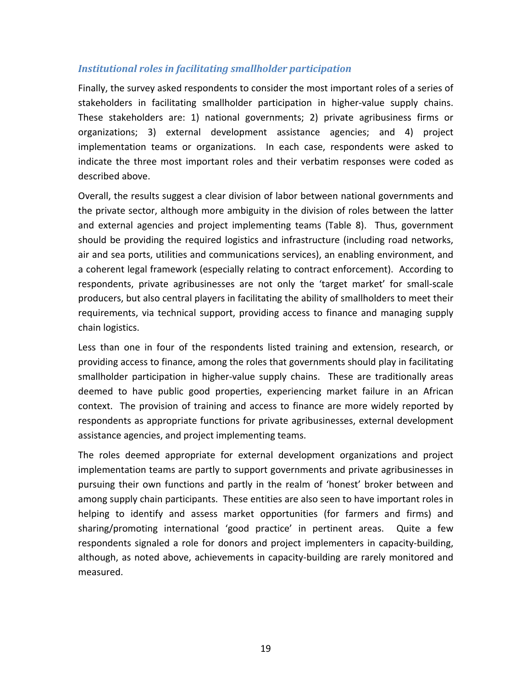#### *Institutional roles in facilitating smallholder participation*

Finally, the survey asked respondents to consider the most important roles of a series of stakeholders in facilitating smallholder participation in higher‐value supply chains. These stakeholders are: 1) national governments; 2) private agribusiness firms or organizations; 3) external development assistance agencies; and 4) project implementation teams or organizations. In each case, respondents were asked to indicate the three most important roles and their verbatim responses were coded as described above.

Overall, the results suggest a clear division of labor between national governments and the private sector, although more ambiguity in the division of roles between the latter and external agencies and project implementing teams (Table 8). Thus, government should be providing the required logistics and infrastructure (including road networks, air and sea ports, utilities and communications services), an enabling environment, and a coherent legal framework (especially relating to contract enforcement). According to respondents, private agribusinesses are not only the 'target market' for small‐scale producers, but also central players in facilitating the ability of smallholders to meet their requirements, via technical support, providing access to finance and managing supply chain logistics.

Less than one in four of the respondents listed training and extension, research, or providing access to finance, among the roles that governments should play in facilitating smallholder participation in higher-value supply chains. These are traditionally areas deemed to have public good properties, experiencing market failure in an African context. The provision of training and access to finance are more widely reported by respondents as appropriate functions for private agribusinesses, external development assistance agencies, and project implementing teams.

The roles deemed appropriate for external development organizations and project implementation teams are partly to support governments and private agribusinesses in pursuing their own functions and partly in the realm of 'honest' broker between and among supply chain participants. These entities are also seen to have important roles in helping to identify and assess market opportunities (for farmers and firms) and sharing/promoting international 'good practice' in pertinent areas. Quite a few respondents signaled a role for donors and project implementers in capacity‐building, although, as noted above, achievements in capacity‐building are rarely monitored and measured.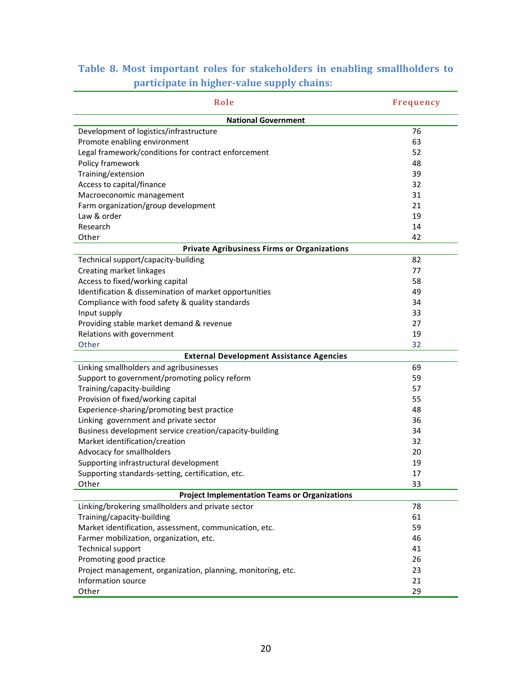| Role                                                         | <b>Frequency</b> |
|--------------------------------------------------------------|------------------|
| <b>National Government</b>                                   |                  |
| Development of logistics/infrastructure                      | 76               |
| Promote enabling environment                                 | 63               |
| Legal framework/conditions for contract enforcement          | 52               |
| Policy framework                                             | 48               |
| Training/extension                                           | 39               |
| Access to capital/finance                                    | 32               |
| Macroeconomic management                                     | 31               |
| Farm organization/group development                          | 21               |
| Law & order                                                  | 19               |
| Research                                                     | 14               |
| Other                                                        | 42               |
| <b>Private Agribusiness Firms or Organizations</b>           |                  |
| Technical support/capacity-building                          | 82               |
| Creating market linkages                                     | 77               |
| Access to fixed/working capital                              | 58               |
| Identification & dissemination of market opportunities       | 49               |
| Compliance with food safety & quality standards              | 34               |
| Input supply                                                 | 33               |
| Providing stable market demand & revenue                     | 27               |
| Relations with government                                    | 19               |
| Other                                                        | 32               |
| <b>External Development Assistance Agencies</b>              |                  |
| Linking smallholders and agribusinesses                      | 69               |
| Support to government/promoting policy reform                | 59               |
| Training/capacity-building                                   | 57               |
| Provision of fixed/working capital                           | 55               |
| Experience-sharing/promoting best practice                   | 48               |
| Linking government and private sector                        | 36               |
| Business development service creation/capacity-building      | 34               |
| Market identification/creation                               | 32               |
| Advocacy for smallholders                                    | 20               |
| Supporting infrastructural development                       | 19               |
| Supporting standards-setting, certification, etc.            | 17               |
| Other                                                        | 33               |
| <b>Project Implementation Teams or Organizations</b>         |                  |
| Linking/brokering smallholders and private sector            | 78               |
| Training/capacity-building                                   | 61               |
| Market identification, assessment, communication, etc.       | 59               |
| Farmer mobilization, organization, etc.                      | 46               |
| <b>Technical support</b>                                     | 41               |
| Promoting good practice                                      | 26               |
| Project management, organization, planning, monitoring, etc. | 23               |
| Information source                                           | 21               |
| Other                                                        | 29               |

## **Table 8. Most important roles for stakeholders in enabling smallholders to participate in highervalue supply chains:**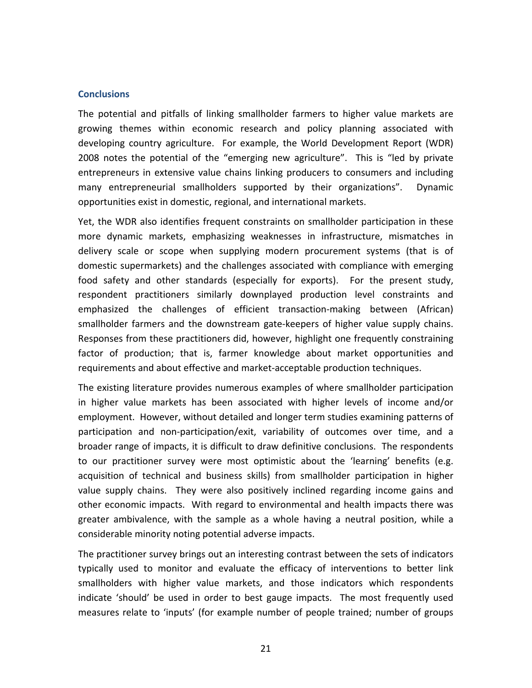#### **Conclusions**

The potential and pitfalls of linking smallholder farmers to higher value markets are growing themes within economic research and policy planning associated with developing country agriculture. For example, the World Development Report (WDR) 2008 notes the potential of the "emerging new agriculture". This is "led by private entrepreneurs in extensive value chains linking producers to consumers and including many entrepreneurial smallholders supported by their organizations". Dynamic opportunities exist in domestic, regional, and international markets.

Yet, the WDR also identifies frequent constraints on smallholder participation in these more dynamic markets, emphasizing weaknesses in infrastructure, mismatches in delivery scale or scope when supplying modern procurement systems (that is of domestic supermarkets) and the challenges associated with compliance with emerging food safety and other standards (especially for exports). For the present study, respondent practitioners similarly downplayed production level constraints and emphasized the challenges of efficient transaction‐making between (African) smallholder farmers and the downstream gate‐keepers of higher value supply chains. Responses from these practitioners did, however, highlight one frequently constraining factor of production; that is, farmer knowledge about market opportunities and requirements and about effective and market‐acceptable production techniques.

The existing literature provides numerous examples of where smallholder participation in higher value markets has been associated with higher levels of income and/or employment. However, without detailed and longer term studies examining patterns of participation and non‐participation/exit, variability of outcomes over time, and a broader range of impacts, it is difficult to draw definitive conclusions. The respondents to our practitioner survey were most optimistic about the 'learning' benefits (e.g. acquisition of technical and business skills) from smallholder participation in higher value supply chains. They were also positively inclined regarding income gains and other economic impacts. With regard to environmental and health impacts there was greater ambivalence, with the sample as a whole having a neutral position, while a considerable minority noting potential adverse impacts.

The practitioner survey brings out an interesting contrast between the sets of indicators typically used to monitor and evaluate the efficacy of interventions to better link smallholders with higher value markets, and those indicators which respondents indicate 'should' be used in order to best gauge impacts. The most frequently used measures relate to 'inputs' (for example number of people trained; number of groups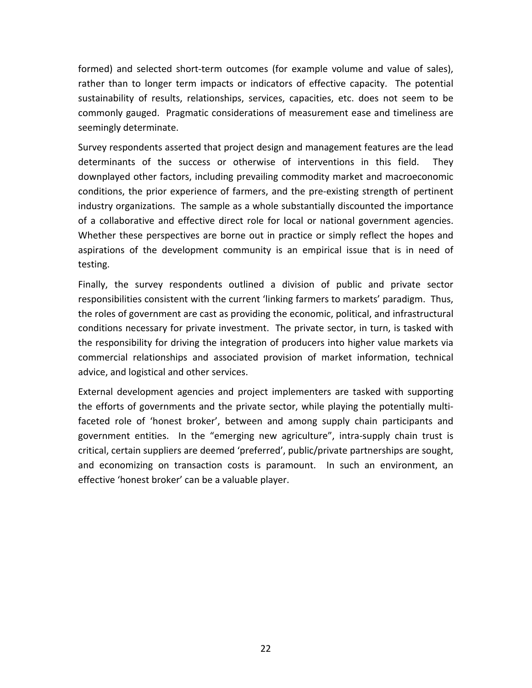formed) and selected short‐term outcomes (for example volume and value of sales), rather than to longer term impacts or indicators of effective capacity. The potential sustainability of results, relationships, services, capacities, etc. does not seem to be commonly gauged. Pragmatic considerations of measurement ease and timeliness are seemingly determinate.

Survey respondents asserted that project design and management features are the lead determinants of the success or otherwise of interventions in this field. They downplayed other factors, including prevailing commodity market and macroeconomic conditions, the prior experience of farmers, and the pre‐existing strength of pertinent industry organizations. The sample as a whole substantially discounted the importance of a collaborative and effective direct role for local or national government agencies. Whether these perspectives are borne out in practice or simply reflect the hopes and aspirations of the development community is an empirical issue that is in need of testing.

Finally, the survey respondents outlined a division of public and private sector responsibilities consistent with the current 'linking farmers to markets' paradigm. Thus, the roles of government are cast as providing the economic, political, and infrastructural conditions necessary for private investment. The private sector, in turn, is tasked with the responsibility for driving the integration of producers into higher value markets via commercial relationships and associated provision of market information, technical advice, and logistical and other services.

External development agencies and project implementers are tasked with supporting the efforts of governments and the private sector, while playing the potentially multi‐ faceted role of 'honest broker', between and among supply chain participants and government entities. In the "emerging new agriculture", intra-supply chain trust is critical, certain suppliers are deemed 'preferred', public/private partnerships are sought, and economizing on transaction costs is paramount. In such an environment, an effective 'honest broker' can be a valuable player.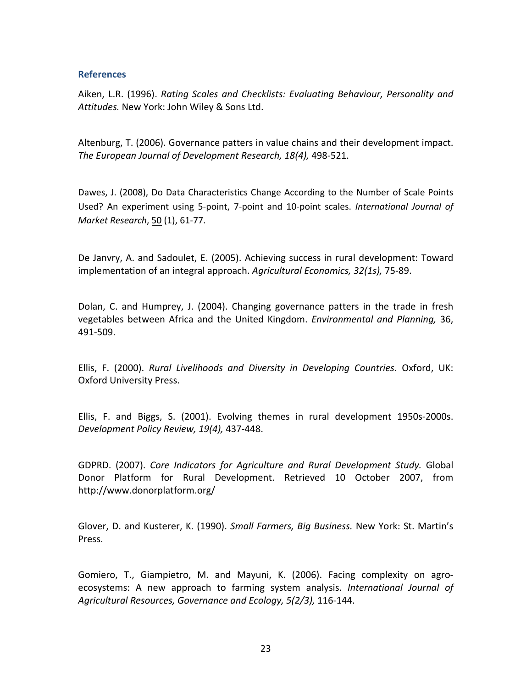#### **References**

Aiken, L.R. (1996). *Rating Scales and Checklists: Evaluating Behaviour, Personality and Attitudes.* New York: John Wiley & Sons Ltd.

Altenburg, T. (2006). Governance patters in value chains and their development impact. *The European Journal of Development Research, 18(4),* 498‐521.

Dawes, J. (2008), Do Data Characteristics Change According to the Number of Scale Points Used? An experiment using 5‐point, 7‐point and 10‐point scales. *International Journal of Market Research*, 50 (1), 61‐77.

De Janvry, A. and Sadoulet, E. (2005). Achieving success in rural development: Toward implementation of an integral approach. *Agricultural Economics, 32(1s),* 75‐89.

Dolan, C. and Humprey, J. (2004). Changing governance patters in the trade in fresh vegetables between Africa and the United Kingdom. *Environmental and Planning,* 36, 491‐509.

Ellis, F. (2000). *Rural Livelihoods and Diversity in Developing Countries.* Oxford, UK: Oxford University Press.

Ellis, F. and Biggs, S. (2001). Evolving themes in rural development 1950s‐2000s. *Development Policy Review, 19(4),* 437‐448.

GDPRD. (2007). *Core Indicators for Agriculture and Rural Development Study.* Global Donor Platform for Rural Development. Retrieved 10 October 2007, from http://www.donorplatform.org/

Glover, D. and Kusterer, K. (1990). *Small Farmers, Big Business.* New York: St. Martin's Press.

Gomiero, T., Giampietro, M. and Mayuni, K. (2006). Facing complexity on agro‐ ecosystems: A new approach to farming system analysis. *International Journal of Agricultural Resources, Governance and Ecology, 5(2/3),* 116‐144.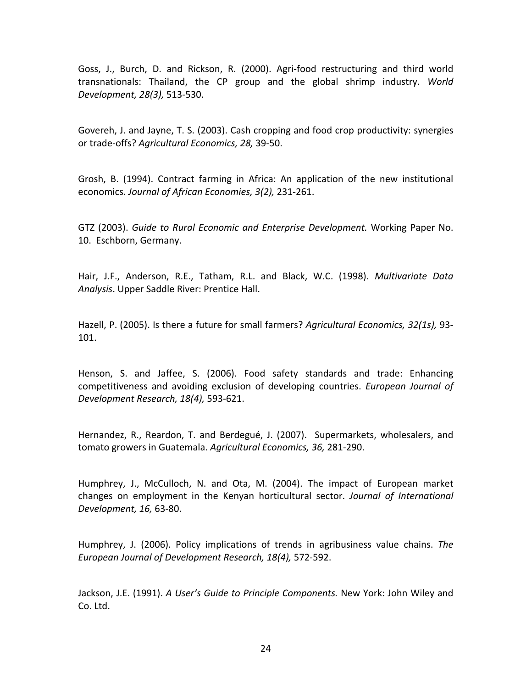Goss, J., Burch, D. and Rickson, R. (2000). Agri‐food restructuring and third world transnationals: Thailand, the CP group and the global shrimp industry. *World Development, 28(3),* 513‐530.

Govereh, J. and Jayne, T. S. (2003). Cash cropping and food crop productivity: synergies or trade‐offs? *Agricultural Economics, 28,* 39‐50.

Grosh, B. (1994). Contract farming in Africa: An application of the new institutional economics. *Journal of African Economies, 3(2),* 231‐261.

GTZ (2003). *Guide to Rural Economic and Enterprise Development.* Working Paper No. 10. Eschborn, Germany.

Hair, J.F., Anderson, R.E., Tatham, R.L. and Black, W.C. (1998). *Multivariate Data Analysis*. Upper Saddle River: Prentice Hall.

Hazell, P. (2005). Is there a future for small farmers? *Agricultural Economics, 32(1s),* 93‐ 101.

Henson, S. and Jaffee, S. (2006). Food safety standards and trade: Enhancing competitiveness and avoiding exclusion of developing countries. *European Journal of Development Research, 18(4),* 593‐621.

Hernandez, R., Reardon, T. and Berdegué, J. (2007). Supermarkets, wholesalers, and tomato growers in Guatemala. *Agricultural Economics, 36,* 281‐290.

Humphrey, J., McCulloch, N. and Ota, M. (2004). The impact of European market changes on employment in the Kenyan horticultural sector. *Journal of International Development, 16,* 63‐80.

Humphrey, J. (2006). Policy implications of trends in agribusiness value chains. *The European Journal of Development Research, 18(4),* 572‐592.

Jackson, J.E. (1991). *A User's Guide to Principle Components.* New York: John Wiley and Co. Ltd.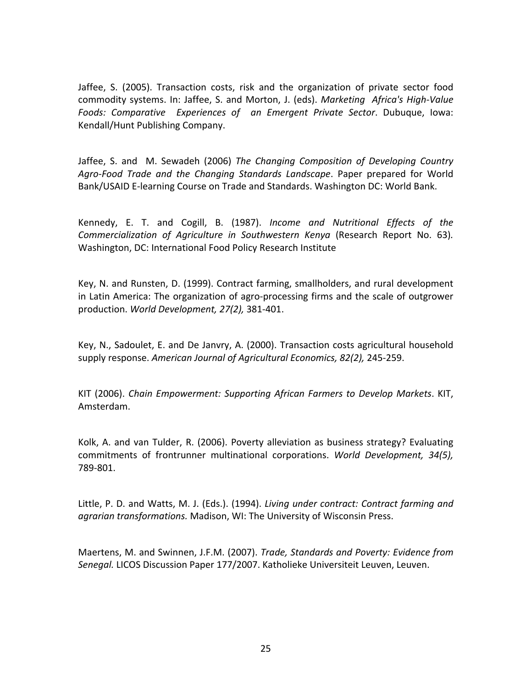Jaffee, S. (2005). Transaction costs, risk and the organization of private sector food commodity systems. In: Jaffee, S. and Morton, J. (eds). *Marketing Africa's High‐Value Foods: Comparative Experiences of an Emergent Private Sector*. Dubuque, Iowa: Kendall/Hunt Publishing Company.

Jaffee, S. and M. Sewadeh (2006) *The Changing Composition of Developing Country Agro‐Food Trade and the Changing Standards Landscape*. Paper prepared for World Bank/USAID E‐learning Course on Trade and Standards. Washington DC: World Bank.

Kennedy, E. T. and Cogill, B. (1987). *Income and Nutritional Effects of the Commercialization of Agriculture in Southwestern Kenya* (Research Report No. 63)*.* Washington, DC: International Food Policy Research Institute

Key, N. and Runsten, D. (1999). Contract farming, smallholders, and rural development in Latin America: The organization of agro‐processing firms and the scale of outgrower production. *World Development, 27(2),* 381‐401.

Key, N., Sadoulet, E. and De Janvry, A. (2000). Transaction costs agricultural household supply response. *American Journal of Agricultural Economics, 82(2),* 245‐259.

KIT (2006). *Chain Empowerment: Supporting African Farmers to Develop Markets*. KIT, Amsterdam.

Kolk, A. and van Tulder, R. (2006). Poverty alleviation as business strategy? Evaluating commitments of frontrunner multinational corporations. *World Development, 34(5),* 789‐801.

Little, P. D. and Watts, M. J. (Eds.). (1994). *Living under contract: Contract farming and agrarian transformations.* Madison, WI: The University of Wisconsin Press.

Maertens, M. and Swinnen, J.F.M. (2007). *Trade, Standards and Poverty: Evidence from Senegal.* LICOS Discussion Paper 177/2007. Katholieke Universiteit Leuven, Leuven.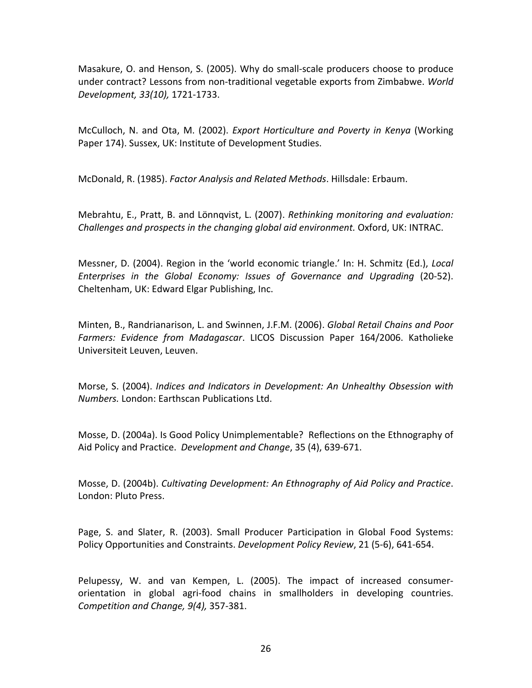Masakure, O. and Henson, S. (2005). Why do small‐scale producers choose to produce under contract? Lessons from non‐traditional vegetable exports from Zimbabwe. *World Development, 33(10),* 1721‐1733.

McCulloch, N. and Ota, M. (2002). *Export Horticulture and Poverty in Kenya* (Working Paper 174). Sussex, UK: Institute of Development Studies.

McDonald, R. (1985). *Factor Analysis and Related Methods*. Hillsdale: Erbaum.

Mebrahtu, E., Pratt, B. and Lönnqvist, L. (2007). *Rethinking monitoring and evaluation: Challenges and prospects in the changing global aid environment.* Oxford, UK: INTRAC.

Messner, D. (2004). Region in the 'world economic triangle.' In: H. Schmitz (Ed.), *Local Enterprises in the Global Economy: Issues of Governance and Upgrading* (20‐52). Cheltenham, UK: Edward Elgar Publishing, Inc.

Minten, B., Randrianarison, L. and Swinnen, J.F.M. (2006). *Global Retail Chains and Poor Farmers: Evidence from Madagascar*. LICOS Discussion Paper 164/2006. Katholieke Universiteit Leuven, Leuven.

Morse, S. (2004). *Indices and Indicators in Development: An Unhealthy Obsession with Numbers.* London: Earthscan Publications Ltd.

Mosse, D. (2004a). Is Good Policy Unimplementable? Reflections on the Ethnography of Aid Policy and Practice. *Development and Change*, 35 (4), 639‐671.

Mosse, D. (2004b). *Cultivating Development: An Ethnography of Aid Policy and Practice*. London: Pluto Press.

Page, S. and Slater, R. (2003). Small Producer Participation in Global Food Systems: Policy Opportunities and Constraints. *Development Policy Review*, 21 (5‐6), 641‐654.

Pelupessy, W. and van Kempen, L. (2005). The impact of increased consumer‐ orientation in global agri‐food chains in smallholders in developing countries. *Competition and Change, 9(4),* 357‐381.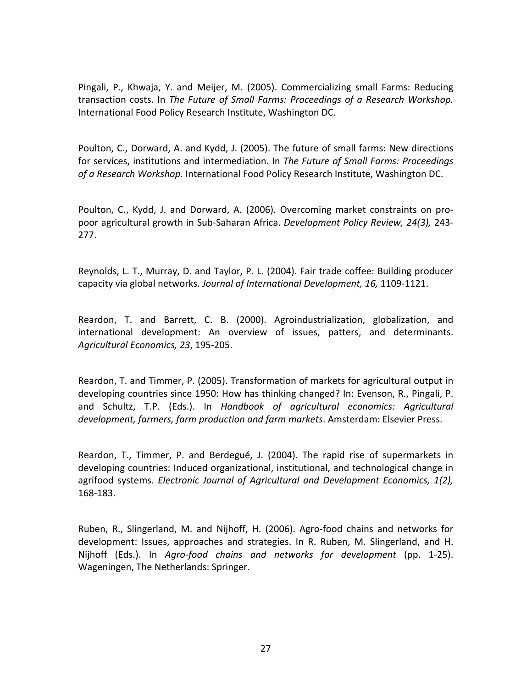Pingali, P., Khwaja, Y. and Meijer, M. (2005). Commercializing small Farms: Reducing transaction costs. In *The Future of Small Farms: Proceedings of a Research Workshop.* International Food Policy Research Institute, Washington DC.

Poulton, C., Dorward, A. and Kydd, J. (2005). The future of small farms: New directions for services, institutions and intermediation. In *The Future of Small Farms: Proceedings of a Research Workshop.* International Food Policy Research Institute, Washington DC.

Poulton, C., Kydd, J. and Dorward, A. (2006). Overcoming market constraints on pro‐ poor agricultural growth in Sub‐Saharan Africa. *Development Policy Review, 24(3),* 243‐ 277.

Reynolds, L. T., Murray, D. and Taylor, P. L. (2004). Fair trade coffee: Building producer capacity via global networks. *Journal of International Development, 16,* 1109‐1121.

Reardon, T. and Barrett, C. B. (2000). Agroindustrialization, globalization, and international development: An overview of issues, patters, and determinants. *Agricultural Economics, 23*, 195‐205.

Reardon, T. and Timmer, P. (2005). Transformation of markets for agricultural output in developing countries since 1950: How has thinking changed? In: Evenson, R., Pingali, P. and Schultz, T.P. (Eds.). In *Handbook of agricultural economics: Agricultural development, farmers, farm production and farm markets*. Amsterdam: Elsevier Press.

Reardon, T., Timmer, P. and Berdegué, J. (2004). The rapid rise of supermarkets in developing countries: Induced organizational, institutional, and technological change in agrifood systems. *Electronic Journal of Agricultural and Development Economics, 1(2),* 168‐183.

Ruben, R., Slingerland, M. and Nijhoff, H. (2006). Agro‐food chains and networks for development: Issues, approaches and strategies. In R. Ruben, M. Slingerland, and H. Nijhoff (Eds.). In *Agro‐food chains and networks for development* (pp. 1‐25). Wageningen, The Netherlands: Springer.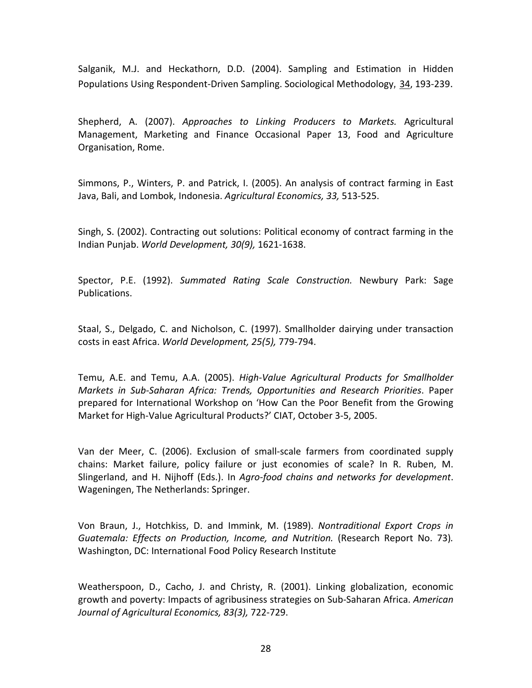Salganik, M.J. and Heckathorn, D.D. (2004). Sampling and Estimation in Hidden Populations Using Respondent‐Driven Sampling. Sociological Methodology*,* 34, 193‐239.

Shepherd, A. (2007). *Approaches to Linking Producers to Markets.* Agricultural Management, Marketing and Finance Occasional Paper 13, Food and Agriculture Organisation, Rome.

Simmons, P., Winters, P. and Patrick, I. (2005). An analysis of contract farming in East Java, Bali, and Lombok, Indonesia. *Agricultural Economics, 33,* 513‐525.

Singh, S. (2002). Contracting out solutions: Political economy of contract farming in the Indian Punjab. *World Development, 30(9),* 1621‐1638.

Spector, P.E. (1992). *Summated Rating Scale Construction.* Newbury Park: Sage Publications.

Staal, S., Delgado, C. and Nicholson, C. (1997). Smallholder dairying under transaction costs in east Africa. *World Development, 25(5),* 779‐794.

Temu, A.E. and Temu, A.A. (2005). *High‐Value Agricultural Products for Smallholder Markets in Sub‐Saharan Africa: Trends, Opportunities and Research Priorities*. Paper prepared for International Workshop on 'How Can the Poor Benefit from the Growing Market for High‐Value Agricultural Products?' CIAT, October 3‐5, 2005.

Van der Meer, C. (2006). Exclusion of small‐scale farmers from coordinated supply chains: Market failure, policy failure or just economies of scale? In R. Ruben, M. Slingerland, and H. Nijhoff (Eds.). In *Agro‐food chains and networks for development*. Wageningen, The Netherlands: Springer.

Von Braun, J., Hotchkiss, D. and Immink, M. (1989). *Nontraditional Export Crops in Guatemala: Effects on Production, Income, and Nutrition.* (Research Report No. 73)*.* Washington, DC: International Food Policy Research Institute

Weatherspoon, D., Cacho, J. and Christy, R. (2001). Linking globalization, economic growth and poverty: Impacts of agribusiness strategies on Sub‐Saharan Africa. *American Journal of Agricultural Economics, 83(3),* 722‐729.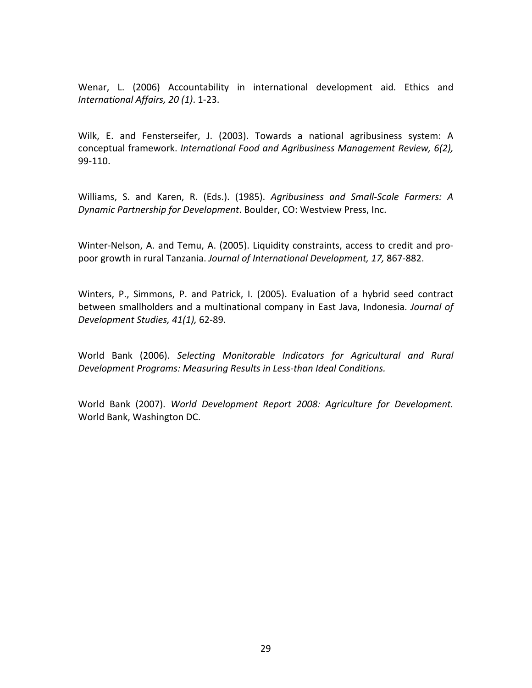Wenar, L. (2006) Accountability in international development aid*.* Ethics and *International Affairs, 20 (1)*. 1‐23.

Wilk, E. and Fensterseifer, J. (2003). Towards a national agribusiness system: A conceptual framework. *International Food and Agribusiness Management Review, 6(2),* 99‐110.

Williams, S. and Karen, R. (Eds.). (1985). *Agribusiness and Small‐Scale Farmers: A Dynamic Partnership for Development*. Boulder, CO: Westview Press, Inc.

Winter‐Nelson, A. and Temu, A. (2005). Liquidity constraints, access to credit and pro‐ poor growth in rural Tanzania. *Journal of International Development, 17,* 867‐882.

Winters, P., Simmons, P. and Patrick, I. (2005). Evaluation of a hybrid seed contract between smallholders and a multinational company in East Java, Indonesia. *Journal of Development Studies, 41(1),* 62‐89.

World Bank (2006). *Selecting Monitorable Indicators for Agricultural and Rural Development Programs: Measuring Results in Less‐than Ideal Conditions.*

World Bank (2007). *World Development Report 2008: Agriculture for Development.* World Bank, Washington DC.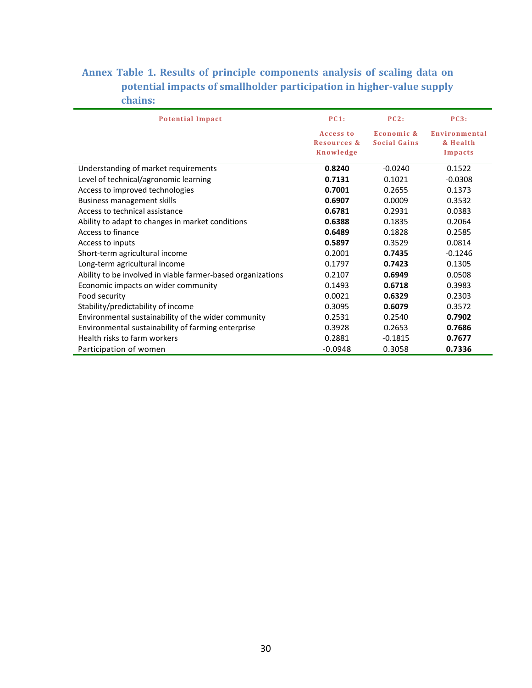## **Annex Table 1. Results of principle components analysis of scaling data on potential impacts of smallholder participation in highervalue supply chains:**

| <b>Potential Impact</b>                                     | PC1:        | PC2:                | PC3:          |  |
|-------------------------------------------------------------|-------------|---------------------|---------------|--|
|                                                             | Access to   | Economic &          | Environmental |  |
|                                                             | Resources & | <b>Social Gains</b> | & Health      |  |
|                                                             | Knowledge   |                     | Impacts       |  |
| Understanding of market requirements                        | 0.8240      | $-0.0240$           | 0.1522        |  |
| Level of technical/agronomic learning                       | 0.7131      | 0.1021              | $-0.0308$     |  |
| Access to improved technologies                             | 0.7001      | 0.2655              | 0.1373        |  |
| <b>Business management skills</b>                           | 0.6907      | 0.0009              | 0.3532        |  |
| Access to technical assistance                              | 0.6781      | 0.2931              | 0.0383        |  |
| Ability to adapt to changes in market conditions            | 0.6388      | 0.1835              | 0.2064        |  |
| Access to finance                                           | 0.6489      | 0.1828              | 0.2585        |  |
| Access to inputs                                            | 0.5897      | 0.3529              | 0.0814        |  |
| Short-term agricultural income                              | 0.2001      | 0.7435              | $-0.1246$     |  |
| Long-term agricultural income                               | 0.1797      | 0.7423              | 0.1305        |  |
| Ability to be involved in viable farmer-based organizations | 0.2107      | 0.6949              | 0.0508        |  |
| Economic impacts on wider community                         | 0.1493      | 0.6718              | 0.3983        |  |
| Food security                                               | 0.0021      | 0.6329              | 0.2303        |  |
| Stability/predictability of income                          | 0.3095      | 0.6079              | 0.3572        |  |
| Environmental sustainability of the wider community         | 0.2531      | 0.2540              | 0.7902        |  |
| Environmental sustainability of farming enterprise          | 0.3928      | 0.2653              | 0.7686        |  |
| Health risks to farm workers                                | 0.2881      | $-0.1815$           | 0.7677        |  |
| Participation of women                                      | $-0.0948$   | 0.3058              | 0.7336        |  |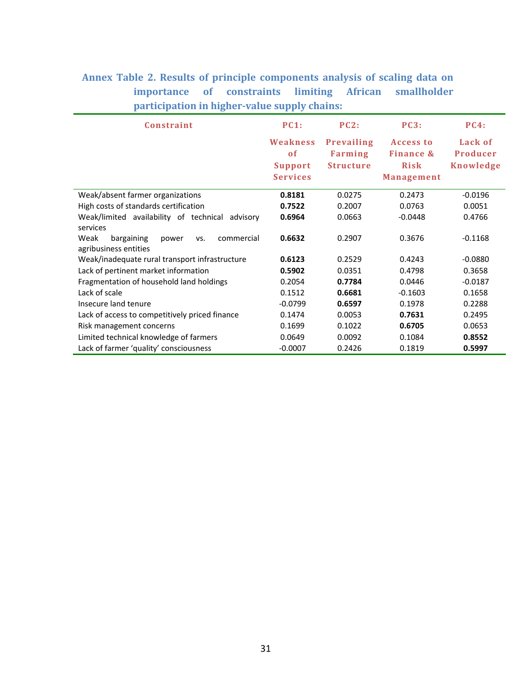## **Annex Table 2. Results of principle components analysis of scaling data on importance of constraints limiting African smallholder participation in highervalue supply chains:**

| Constraint                                         | PC1:            | PC2:             | PC3:                 | <b>PC4:</b> |
|----------------------------------------------------|-----------------|------------------|----------------------|-------------|
|                                                    | Weakness        | Prevailing       | Access to            | Lack of     |
|                                                    | <sub>of</sub>   | Farming          | <b>Finance &amp;</b> | Producer    |
|                                                    | <b>Support</b>  | <b>Structure</b> | <b>Risk</b>          | Knowledge   |
|                                                    | <b>Services</b> |                  | <b>Management</b>    |             |
| Weak/absent farmer organizations                   | 0.8181          | 0.0275           | 0.2473               | $-0.0196$   |
| High costs of standards certification              | 0.7522          | 0.2007           | 0.0763               | 0.0051      |
| Weak/limited availability of technical<br>advisory | 0.6964          | 0.0663           | $-0.0448$            | 0.4766      |
| services                                           |                 |                  |                      |             |
| Weak<br>bargaining<br>commercial<br>power<br>VS.   | 0.6632          | 0.2907           | 0.3676               | $-0.1168$   |
| agribusiness entities                              |                 |                  |                      |             |
| Weak/inadequate rural transport infrastructure     | 0.6123          | 0.2529           | 0.4243               | $-0.0880$   |
| Lack of pertinent market information               | 0.5902          | 0.0351           | 0.4798               | 0.3658      |
| Fragmentation of household land holdings           | 0.2054          | 0.7784           | 0.0446               | $-0.0187$   |
| Lack of scale                                      | 0.1512          | 0.6681           | $-0.1603$            | 0.1658      |
| Insecure land tenure                               | $-0.0799$       | 0.6597           | 0.1978               | 0.2288      |
| Lack of access to competitively priced finance     | 0.1474          | 0.0053           | 0.7631               | 0.2495      |
| Risk management concerns                           | 0.1699          | 0.1022           | 0.6705               | 0.0653      |
| Limited technical knowledge of farmers             | 0.0649          | 0.0092           | 0.1084               | 0.8552      |
| Lack of farmer 'quality' consciousness             | $-0.0007$       | 0.2426           | 0.1819               | 0.5997      |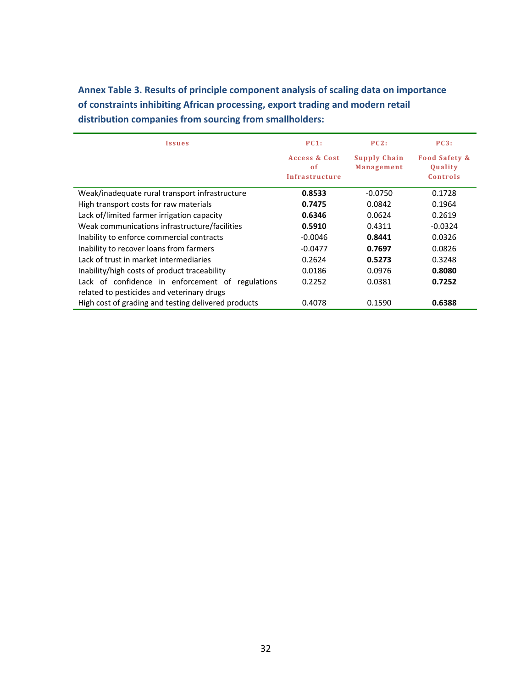**Issues PC1: Access & Cost o f Infrastructure PC2: Supply Chain Management PC3: Food Safety & Quality Controls** Weak/inadequate rural transport infrastructure **0.8533** -0.0750 0.1728 High transport costs for raw materials **0.7475** 0.0842 0.1964 Lack of/limited farmer irrigation capacity **0.6346** 0.0624 0.2619 Weak communications infrastructure/facilities **0.5910** 0.4311 **10.6910 0.4311 10.0324** Inability to enforce commercial contracts **1.00046 0.8441 0.0326 0.8441 0.0326** Inability to recover loans from farmers **1998 10.0477 0.7697 0.0826** Lack of trust in market intermediaries 0.2624 **0.5273** 0.3248 Inability/high costs of product traceability **0.0186** 0.0976 **0.8080** Lack of confidence in enforcement of regulations related to pesticides and veterinary drugs 0.2252 0.0381 **0.7252** High cost of grading and testing delivered products 0.4078 0.1590 **0.6388**

**Annex Table 3. Results of principle component analysis of scaling data on importance of constraints inhibiting African processing, export trading and modern retail distribution companies from sourcing from smallholders:**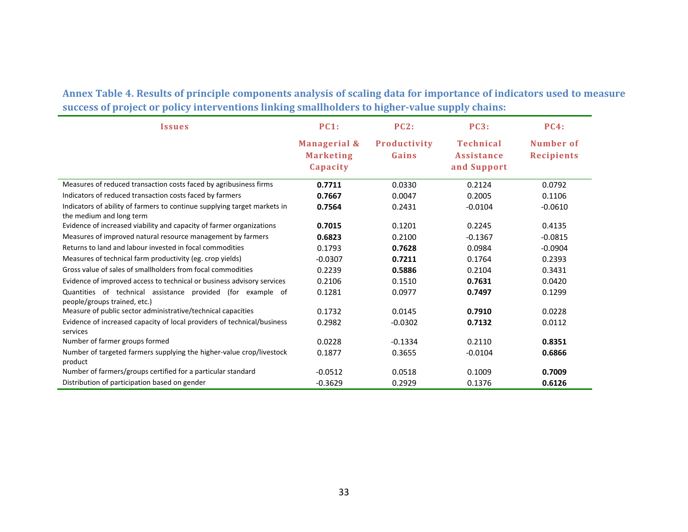Annex Table 4. Results of principle components analysis of scaling data for importance of indicators used to measure **success of project or policy interventions linking smallholders to highervalue supply chains:**

| <i><u><b>Issues</b></u></i>                                                                          | <b>PC1:</b>                                  | PC2:                  | PC3:                                                 | <b>PC4:</b>                    |
|------------------------------------------------------------------------------------------------------|----------------------------------------------|-----------------------|------------------------------------------------------|--------------------------------|
|                                                                                                      | Managerial &<br><b>Marketing</b><br>Capacity | Productivity<br>Gains | <b>Technical</b><br><b>Assistance</b><br>and Support | Number of<br><b>Recipients</b> |
| Measures of reduced transaction costs faced by agribusiness firms                                    | 0.7711                                       | 0.0330                | 0.2124                                               | 0.0792                         |
| Indicators of reduced transaction costs faced by farmers                                             | 0.7667                                       | 0.0047                | 0.2005                                               | 0.1106                         |
| Indicators of ability of farmers to continue supplying target markets in<br>the medium and long term | 0.7564                                       | 0.2431                | $-0.0104$                                            | $-0.0610$                      |
| Evidence of increased viability and capacity of farmer organizations                                 | 0.7015                                       | 0.1201                | 0.2245                                               | 0.4135                         |
| Measures of improved natural resource management by farmers                                          | 0.6823                                       | 0.2100                | $-0.1367$                                            | $-0.0815$                      |
| Returns to land and labour invested in focal commodities                                             | 0.1793                                       | 0.7628                | 0.0984                                               | $-0.0904$                      |
| Measures of technical farm productivity (eg. crop yields)                                            | $-0.0307$                                    | 0.7211                | 0.1764                                               | 0.2393                         |
| Gross value of sales of smallholders from focal commodities                                          | 0.2239                                       | 0.5886                | 0.2104                                               | 0.3431                         |
| Evidence of improved access to technical or business advisory services                               | 0.2106                                       | 0.1510                | 0.7631                                               | 0.0420                         |
| Quantities of technical assistance provided (for example of<br>people/groups trained, etc.)          | 0.1281                                       | 0.0977                | 0.7497                                               | 0.1299                         |
| Measure of public sector administrative/technical capacities                                         | 0.1732                                       | 0.0145                | 0.7910                                               | 0.0228                         |
| Evidence of increased capacity of local providers of technical/business<br>services                  | 0.2982                                       | $-0.0302$             | 0.7132                                               | 0.0112                         |
| Number of farmer groups formed                                                                       | 0.0228                                       | $-0.1334$             | 0.2110                                               | 0.8351                         |
| Number of targeted farmers supplying the higher-value crop/livestock<br>product                      | 0.1877                                       | 0.3655                | $-0.0104$                                            | 0.6866                         |
| Number of farmers/groups certified for a particular standard                                         | $-0.0512$                                    | 0.0518                | 0.1009                                               | 0.7009                         |
| Distribution of participation based on gender                                                        | $-0.3629$                                    | 0.2929                | 0.1376                                               | 0.6126                         |